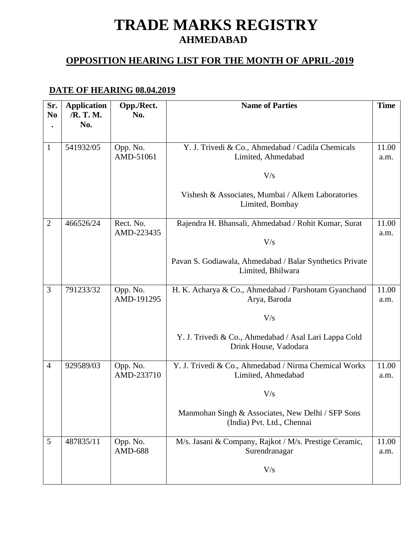# **TRADE MARKS REGISTRY AHMEDABAD**

#### **OPPOSITION HEARING LIST FOR THE MONTH OF APRIL-2019**

### **DATE OF HEARING 08.04.2019**

| Sr.<br>N <sub>0</sub> | <b>Application</b><br>/R. T. M. | Opp./Rect.<br>No.       | <b>Name of Parties</b>                                                          | <b>Time</b>   |
|-----------------------|---------------------------------|-------------------------|---------------------------------------------------------------------------------|---------------|
|                       | No.                             |                         |                                                                                 |               |
| $\mathbf{1}$          | 541932/05                       | Opp. No.<br>AMD-51061   | Y. J. Trivedi & Co., Ahmedabad / Cadila Chemicals<br>Limited, Ahmedabad         | 11.00<br>a.m. |
|                       |                                 |                         | V/s                                                                             |               |
|                       |                                 |                         | Vishesh & Associates, Mumbai / Alkem Laboratories<br>Limited, Bombay            |               |
| $\overline{2}$        | 466526/24                       | Rect. No.<br>AMD-223435 | Rajendra H. Bhansali, Ahmedabad / Rohit Kumar, Surat                            | 11.00<br>a.m. |
|                       |                                 |                         | V/s                                                                             |               |
|                       |                                 |                         | Pavan S. Godiawala, Ahmedabad / Balar Synthetics Private<br>Limited, Bhilwara   |               |
| 3                     | 791233/32                       | Opp. No.<br>AMD-191295  | H. K. Acharya & Co., Ahmedabad / Parshotam Gyanchand<br>Arya, Baroda            | 11.00<br>a.m. |
|                       |                                 |                         | V/s                                                                             |               |
|                       |                                 |                         | Y. J. Trivedi & Co., Ahmedabad / Asal Lari Lappa Cold<br>Drink House, Vadodara  |               |
| $\overline{4}$        | 929589/03                       | Opp. No.<br>AMD-233710  | Y. J. Trivedi & Co., Ahmedabad / Nirma Chemical Works<br>Limited, Ahmedabad     | 11.00<br>a.m. |
|                       |                                 |                         | V/s                                                                             |               |
|                       |                                 |                         | Manmohan Singh & Associates, New Delhi / SFP Sons<br>(India) Pvt. Ltd., Chennai |               |
| 5                     | 487835/11                       | Opp. No.<br>AMD-688     | M/s. Jasani & Company, Rajkot / M/s. Prestige Ceramic,<br>Surendranagar         | 11.00<br>a.m. |
|                       |                                 |                         | V/s                                                                             |               |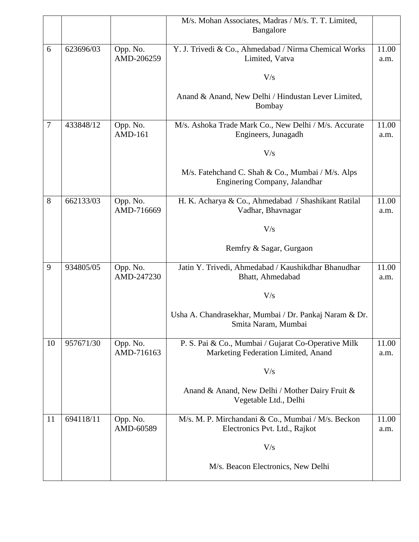|        |           |                        | M/s. Mohan Associates, Madras / M/s. T. T. Limited,                     |               |
|--------|-----------|------------------------|-------------------------------------------------------------------------|---------------|
|        |           |                        | Bangalore                                                               |               |
| 6      | 623696/03 | Opp. No.               | Y. J. Trivedi & Co., Ahmedabad / Nirma Chemical Works                   | 11.00         |
|        |           | AMD-206259             | Limited, Vatva                                                          | a.m.          |
|        |           |                        |                                                                         |               |
|        |           |                        | V/s                                                                     |               |
|        |           |                        | Anand & Anand, New Delhi / Hindustan Lever Limited,                     |               |
|        |           |                        | Bombay                                                                  |               |
|        |           |                        |                                                                         |               |
| $\tau$ | 433848/12 | Opp. No.               | M/s. Ashoka Trade Mark Co., New Delhi / M/s. Accurate                   | 11.00         |
|        |           | <b>AMD-161</b>         | Engineers, Junagadh                                                     | a.m.          |
|        |           |                        | V/s                                                                     |               |
|        |           |                        |                                                                         |               |
|        |           |                        | M/s. Fatehchand C. Shah & Co., Mumbai / M/s. Alps                       |               |
|        |           |                        | Enginering Company, Jalandhar                                           |               |
| 8      | 662133/03 | Opp. No.               | H. K. Acharya & Co., Ahmedabad / Shashikant Ratilal                     | 11.00         |
|        |           | AMD-716669             | Vadhar, Bhavnagar                                                       | a.m.          |
|        |           |                        | V/s                                                                     |               |
|        |           |                        |                                                                         |               |
|        |           |                        | Remfry & Sagar, Gurgaon                                                 |               |
|        |           |                        |                                                                         |               |
| 9      | 934805/05 | Opp. No.<br>AMD-247230 | Jatin Y. Trivedi, Ahmedabad / Kaushikdhar Bhanudhar<br>Bhatt, Ahmedabad | 11.00<br>a.m. |
|        |           |                        |                                                                         |               |
|        |           |                        | V/s                                                                     |               |
|        |           |                        | Usha A. Chandrasekhar, Mumbai / Dr. Pankaj Naram & Dr.                  |               |
|        |           |                        | Smita Naram, Mumbai                                                     |               |
|        |           |                        |                                                                         |               |
| 10     | 957671/30 | Opp. No.               | P. S. Pai & Co., Mumbai / Gujarat Co-Operative Milk                     | 11.00         |
|        |           | AMD-716163             | Marketing Federation Limited, Anand                                     | a.m.          |
|        |           |                        | V/s                                                                     |               |
|        |           |                        |                                                                         |               |
|        |           |                        | Anand & Anand, New Delhi / Mother Dairy Fruit &                         |               |
|        |           |                        | Vegetable Ltd., Delhi                                                   |               |
| 11     | 694118/11 | Opp. No.               | M/s. M. P. Mirchandani & Co., Mumbai / M/s. Beckon                      | 11.00         |
|        |           | AMD-60589              | Electronics Pvt. Ltd., Rajkot                                           | a.m.          |
|        |           |                        | V/s                                                                     |               |
|        |           |                        |                                                                         |               |
|        |           |                        | M/s. Beacon Electronics, New Delhi                                      |               |
|        |           |                        |                                                                         |               |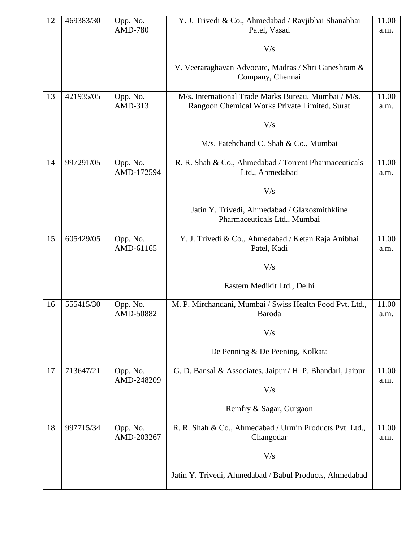| 12 | 469383/30 | Opp. No.<br><b>AMD-780</b> | Y. J. Trivedi & Co., Ahmedabad / Ravjibhai Shanabhai<br>Patel, Vasad          | 11.00         |
|----|-----------|----------------------------|-------------------------------------------------------------------------------|---------------|
|    |           |                            |                                                                               | a.m.          |
|    |           |                            | V/s                                                                           |               |
|    |           |                            | V. Veeraraghavan Advocate, Madras / Shri Ganeshram &                          |               |
|    |           |                            | Company, Chennai                                                              |               |
| 13 | 421935/05 | Opp. No.                   | M/s. International Trade Marks Bureau, Mumbai / M/s.                          | 11.00         |
|    |           | AMD-313                    | Rangoon Chemical Works Private Limited, Surat                                 | a.m.          |
|    |           |                            | V/s                                                                           |               |
|    |           |                            | M/s. Fatehchand C. Shah & Co., Mumbai                                         |               |
| 14 | 997291/05 | Opp. No.<br>AMD-172594     | R. R. Shah & Co., Ahmedabad / Torrent Pharmaceuticals<br>Ltd., Ahmedabad      | 11.00<br>a.m. |
|    |           |                            | V/s                                                                           |               |
|    |           |                            |                                                                               |               |
|    |           |                            | Jatin Y. Trivedi, Ahmedabad / Glaxosmithkline<br>Pharmaceuticals Ltd., Mumbai |               |
|    |           |                            |                                                                               |               |
| 15 | 605429/05 | Opp. No.<br>AMD-61165      | Y. J. Trivedi & Co., Ahmedabad / Ketan Raja Anibhai<br>Patel, Kadi            | 11.00<br>a.m. |
|    |           |                            | V/s                                                                           |               |
|    |           |                            | Eastern Medikit Ltd., Delhi                                                   |               |
| 16 | 555415/30 | Opp. No.<br>AMD-50882      | M. P. Mirchandani, Mumbai / Swiss Health Food Pvt. Ltd.,<br>Baroda            | 11.00         |
|    |           |                            |                                                                               | a.m.          |
|    |           |                            | V/s                                                                           |               |
|    |           |                            | De Penning & De Peening, Kolkata                                              |               |
| 17 | 713647/21 | Opp. No.                   | G. D. Bansal & Associates, Jaipur / H. P. Bhandari, Jaipur                    | 11.00         |
|    |           | AMD-248209                 | V/s                                                                           | a.m.          |
|    |           |                            | Remfry & Sagar, Gurgaon                                                       |               |
| 18 | 997715/34 | Opp. No.                   | R. R. Shah & Co., Ahmedabad / Urmin Products Pvt. Ltd.,                       | 11.00         |
|    |           | AMD-203267                 | Changodar                                                                     | a.m.          |
|    |           |                            | V/s                                                                           |               |
|    |           |                            | Jatin Y. Trivedi, Ahmedabad / Babul Products, Ahmedabad                       |               |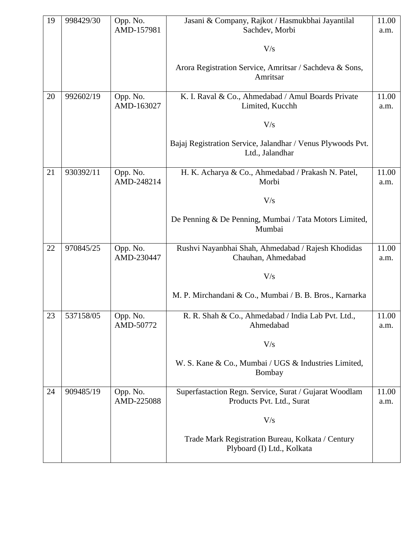| 19 | 998429/30 | Opp. No.               | Jasani & Company, Rajkot / Hasmukbhai Jayantilal                                    | 11.00         |
|----|-----------|------------------------|-------------------------------------------------------------------------------------|---------------|
|    |           | AMD-157981             | Sachdev, Morbi                                                                      | a.m.          |
|    |           |                        | V/s                                                                                 |               |
|    |           |                        | Arora Registration Service, Amritsar / Sachdeva & Sons,<br>Amritsar                 |               |
| 20 | 992602/19 | Opp. No.<br>AMD-163027 | K. I. Raval & Co., Ahmedabad / Amul Boards Private<br>Limited, Kucchh               | 11.00<br>a.m. |
|    |           |                        | V/s                                                                                 |               |
|    |           |                        | Bajaj Registration Service, Jalandhar / Venus Plywoods Pvt.<br>Ltd., Jalandhar      |               |
| 21 | 930392/11 | Opp. No.<br>AMD-248214 | H. K. Acharya & Co., Ahmedabad / Prakash N. Patel,<br>Morbi                         | 11.00<br>a.m. |
|    |           |                        | V/s                                                                                 |               |
|    |           |                        | De Penning & De Penning, Mumbai / Tata Motors Limited,<br>Mumbai                    |               |
| 22 | 970845/25 | Opp. No.<br>AMD-230447 | Rushvi Nayanbhai Shah, Ahmedabad / Rajesh Khodidas<br>Chauhan, Ahmedabad            | 11.00<br>a.m. |
|    |           |                        | V/s                                                                                 |               |
|    |           |                        | M. P. Mirchandani & Co., Mumbai / B. B. Bros., Karnarka                             |               |
| 23 | 537158/05 | Opp. No.<br>AMD-50772  | R. R. Shah & Co., Ahmedabad / India Lab Pvt. Ltd.,<br>Ahmedabad                     | 11.00<br>a.m. |
|    |           |                        | V/s                                                                                 |               |
|    |           |                        | W. S. Kane & Co., Mumbai / UGS & Industries Limited,<br>Bombay                      |               |
| 24 | 909485/19 | Opp. No.<br>AMD-225088 | Superfastaction Regn. Service, Surat / Gujarat Woodlam<br>Products Pvt. Ltd., Surat | 11.00<br>a.m. |
|    |           |                        | V/s                                                                                 |               |
|    |           |                        | Trade Mark Registration Bureau, Kolkata / Century<br>Plyboard (I) Ltd., Kolkata     |               |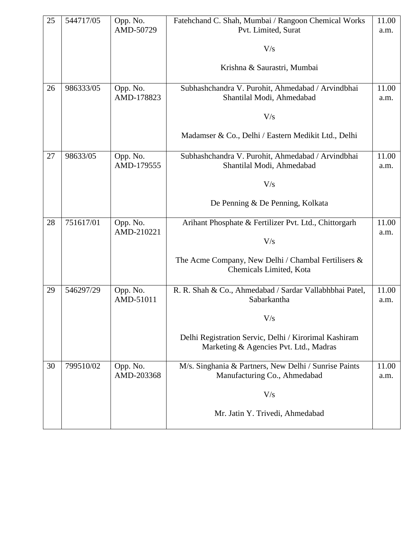| 25 | 544717/05 | Opp. No.<br>AMD-50729  | Fatehchand C. Shah, Mumbai / Rangoon Chemical Works<br>Pvt. Limited, Surat                      | 11.00<br>a.m. |
|----|-----------|------------------------|-------------------------------------------------------------------------------------------------|---------------|
|    |           |                        | V/s                                                                                             |               |
|    |           |                        | Krishna & Saurastri, Mumbai                                                                     |               |
| 26 | 986333/05 | Opp. No.<br>AMD-178823 | Subhashchandra V. Purohit, Ahmedabad / Arvindbhai<br>Shantilal Modi, Ahmedabad                  | 11.00<br>a.m. |
|    |           |                        | V/s                                                                                             |               |
|    |           |                        | Madamser & Co., Delhi / Eastern Medikit Ltd., Delhi                                             |               |
| 27 | 98633/05  | Opp. No.<br>AMD-179555 | Subhashchandra V. Purohit, Ahmedabad / Arvindbhai<br>Shantilal Modi, Ahmedabad                  | 11.00<br>a.m. |
|    |           |                        | V/s                                                                                             |               |
|    |           |                        | De Penning & De Penning, Kolkata                                                                |               |
| 28 | 751617/01 | Opp. No.<br>AMD-210221 | Arihant Phosphate & Fertilizer Pvt. Ltd., Chittorgarh                                           | 11.00<br>a.m. |
|    |           |                        | V/s                                                                                             |               |
|    |           |                        | The Acme Company, New Delhi / Chambal Fertilisers &<br>Chemicals Limited, Kota                  |               |
| 29 | 546297/29 | Opp. No.<br>AMD-51011  | R. R. Shah & Co., Ahmedabad / Sardar Vallabhbhai Patel,<br>Sabarkantha                          | 11.00<br>a.m. |
|    |           |                        | V/s                                                                                             |               |
|    |           |                        | Delhi Registration Servic, Delhi / Kirorimal Kashiram<br>Marketing & Agencies Pvt. Ltd., Madras |               |
| 30 | 799510/02 | Opp. No.<br>AMD-203368 | M/s. Singhania & Partners, New Delhi / Sunrise Paints<br>Manufacturing Co., Ahmedabad           | 11.00<br>a.m. |
|    |           |                        | V/s                                                                                             |               |
|    |           |                        | Mr. Jatin Y. Trivedi, Ahmedabad                                                                 |               |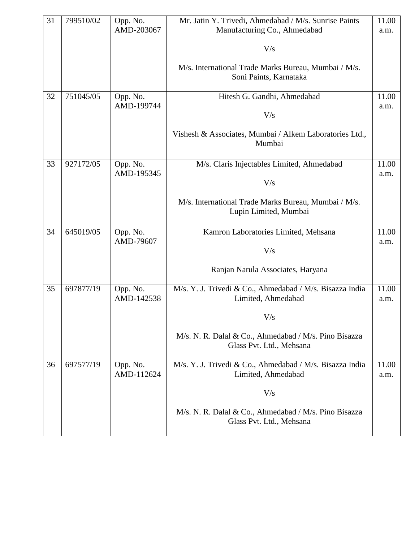| 31 | 799510/02 | Opp. No.<br>AMD-203067 | Mr. Jatin Y. Trivedi, Ahmedabad / M/s. Sunrise Paints<br>Manufacturing Co., Ahmedabad | 11.00<br>a.m. |
|----|-----------|------------------------|---------------------------------------------------------------------------------------|---------------|
|    |           |                        | V/s                                                                                   |               |
|    |           |                        | M/s. International Trade Marks Bureau, Mumbai / M/s.<br>Soni Paints, Karnataka        |               |
| 32 | 751045/05 | Opp. No.<br>AMD-199744 | Hitesh G. Gandhi, Ahmedabad<br>V/s                                                    | 11.00<br>a.m. |
|    |           |                        | Vishesh & Associates, Mumbai / Alkem Laboratories Ltd.,<br>Mumbai                     |               |
| 33 | 927172/05 | Opp. No.<br>AMD-195345 | M/s. Claris Injectables Limited, Ahmedabad<br>V/s                                     | 11.00<br>a.m. |
|    |           |                        | M/s. International Trade Marks Bureau, Mumbai / M/s.<br>Lupin Limited, Mumbai         |               |
| 34 | 645019/05 | Opp. No.<br>AMD-79607  | Kamron Laboratories Limited, Mehsana<br>V/s                                           | 11.00<br>a.m. |
|    |           |                        | Ranjan Narula Associates, Haryana                                                     |               |
| 35 | 697877/19 | Opp. No.<br>AMD-142538 | M/s. Y. J. Trivedi & Co., Ahmedabad / M/s. Bisazza India<br>Limited, Ahmedabad        | 11.00<br>a.m. |
|    |           |                        | V/s                                                                                   |               |
|    |           |                        | M/s. N. R. Dalal & Co., Ahmedabad / M/s. Pino Bisazza<br>Glass Pvt. Ltd., Mehsana     |               |
| 36 | 697577/19 | Opp. No.<br>AMD-112624 | M/s. Y. J. Trivedi & Co., Ahmedabad / M/s. Bisazza India<br>Limited, Ahmedabad        | 11.00<br>a.m. |
|    |           |                        | V/s                                                                                   |               |
|    |           |                        | M/s. N. R. Dalal & Co., Ahmedabad / M/s. Pino Bisazza<br>Glass Pvt. Ltd., Mehsana     |               |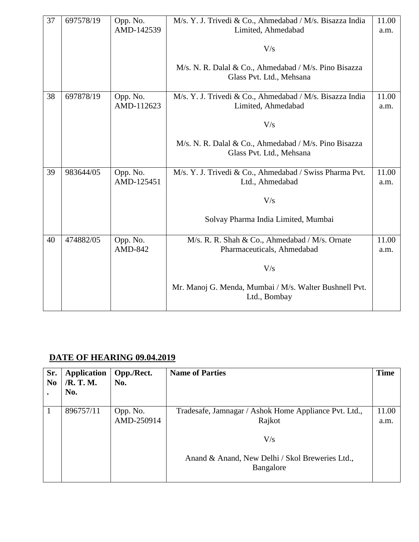| 37 | 697578/19 | Opp. No.<br>AMD-142539 | M/s. Y. J. Trivedi & Co., Ahmedabad / M/s. Bisazza India<br>Limited, Ahmedabad<br>V/s | 11.00<br>a.m. |
|----|-----------|------------------------|---------------------------------------------------------------------------------------|---------------|
|    |           |                        | M/s. N. R. Dalal & Co., Ahmedabad / M/s. Pino Bisazza<br>Glass Pvt. Ltd., Mehsana     |               |
| 38 | 697878/19 | Opp. No.<br>AMD-112623 | M/s. Y. J. Trivedi & Co., Ahmedabad / M/s. Bisazza India<br>Limited, Ahmedabad        | 11.00<br>a.m. |
|    |           |                        | V/s                                                                                   |               |
|    |           |                        | M/s. N. R. Dalal & Co., Ahmedabad / M/s. Pino Bisazza<br>Glass Pvt. Ltd., Mehsana     |               |
| 39 | 983644/05 | Opp. No.<br>AMD-125451 | M/s. Y. J. Trivedi & Co., Ahmedabad / Swiss Pharma Pvt.<br>Ltd., Ahmedabad            | 11.00<br>a.m. |
|    |           |                        | V/s                                                                                   |               |
|    |           |                        | Solvay Pharma India Limited, Mumbai                                                   |               |
| 40 | 474882/05 | Opp. No.<br>AMD-842    | M/s. R. R. Shah & Co., Ahmedabad / M/s. Ornate<br>Pharmaceuticals, Ahmedabad          | 11.00<br>a.m. |
|    |           |                        | V/s                                                                                   |               |
|    |           |                        | Mr. Manoj G. Menda, Mumbai / M/s. Walter Bushnell Pvt.<br>Ltd., Bombay                |               |

#### **DATE OF HEARING 09.04.2019**

| Sr.<br>N <sub>0</sub> | <b>Application</b><br>/R. T. M.<br>No. | Opp./Rect.<br>No.      | <b>Name of Parties</b>                                          | <b>Time</b>   |
|-----------------------|----------------------------------------|------------------------|-----------------------------------------------------------------|---------------|
|                       | 896757/11                              | Opp. No.<br>AMD-250914 | Tradesafe, Jamnagar / Ashok Home Appliance Pvt. Ltd.,<br>Rajkot | 11.00<br>a.m. |
|                       |                                        |                        | V/s                                                             |               |
|                       |                                        |                        | Anand & Anand, New Delhi / Skol Breweries Ltd.,<br>Bangalore    |               |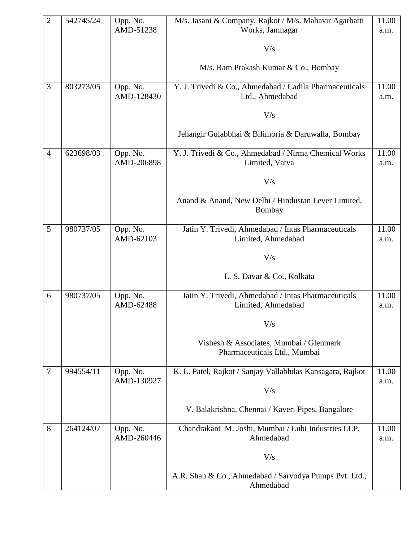| $\overline{2}$ | 542745/24 | Opp. No.<br>AMD-51238  | M/s. Jasani & Company, Rajkot / M/s. Mahavir Agarbatti<br>Works, Jamnagar  | 11.00         |
|----------------|-----------|------------------------|----------------------------------------------------------------------------|---------------|
|                |           |                        |                                                                            | a.m.          |
|                |           |                        | V/s                                                                        |               |
|                |           |                        | M/s. Ram Prakash Kumar & Co., Bombay                                       |               |
| 3              | 803273/05 | Opp. No.<br>AMD-128430 | Y. J. Trivedi & Co., Ahmedabad / Cadila Pharmaceuticals<br>Ltd., Ahmedabad | 11.00<br>a.m. |
|                |           |                        | V/s                                                                        |               |
|                |           |                        | Jehangir Gulabbhai & Bilimoria & Daruwalla, Bombay                         |               |
| $\overline{4}$ | 623698/03 | Opp. No.<br>AMD-206898 | Y. J. Trivedi & Co., Ahmedabad / Nirma Chemical Works<br>Limited, Vatva    | 11.00<br>a.m. |
|                |           |                        | V/s                                                                        |               |
|                |           |                        | Anand & Anand, New Delhi / Hindustan Lever Limited,<br>Bombay              |               |
| 5              | 980737/05 | Opp. No.               | Jatin Y. Trivedi, Ahmedabad / Intas Pharmaceuticals                        | 11.00         |
|                |           | AMD-62103              | Limited, Ahmedabad                                                         | a.m.          |
|                |           |                        | V/s                                                                        |               |
|                |           |                        | L. S. Davar & Co., Kolkata                                                 |               |
| 6              | 980737/05 | Opp. No.<br>AMD-62488  | Jatin Y. Trivedi, Ahmedabad / Intas Pharmaceuticals<br>Limited, Ahmedabad  | 11.00<br>a.m. |
|                |           |                        | V/s                                                                        |               |
|                |           |                        | Vishesh & Associates, Mumbai / Glenmark<br>Pharmaceuticals Ltd., Mumbai    |               |
| 7              | 994554/11 | Opp. No.               | K. L. Patel, Rajkot / Sanjay Vallabhdas Kansagara, Rajkot                  | 11.00         |
|                |           | AMD-130927             | V/s                                                                        | a.m.          |
|                |           |                        | V. Balakrishna, Chennai / Kaveri Pipes, Bangalore                          |               |
| 8              | 264124/07 | Opp. No.<br>AMD-260446 | Chandrakant M. Joshi, Mumbai / Lubi Industries LLP,<br>Ahmedabad           | 11.00<br>a.m. |
|                |           |                        | V/s                                                                        |               |
|                |           |                        | A.R. Shah & Co., Ahmedabad / Sarvodya Pumps Pvt. Ltd.,<br>Ahmedabad        |               |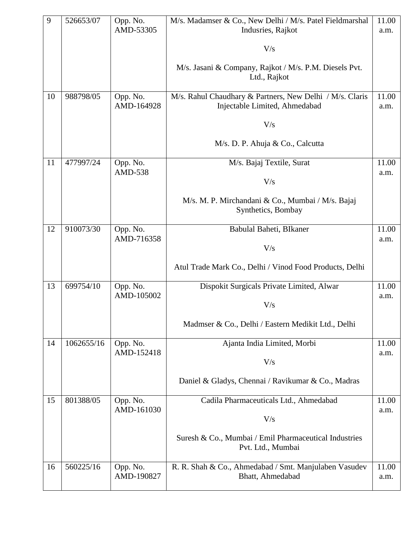| 9  | 526653/07  | Opp. No.               | M/s. Madamser & Co., New Delhi / M/s. Patel Fieldmarshal                                  | 11.00         |
|----|------------|------------------------|-------------------------------------------------------------------------------------------|---------------|
|    |            | AMD-53305              | Indusries, Rajkot                                                                         | a.m.          |
|    |            |                        | V/s                                                                                       |               |
|    |            |                        | M/s. Jasani & Company, Rajkot / M/s. P.M. Diesels Pvt.<br>Ltd., Rajkot                    |               |
| 10 | 988798/05  | Opp. No.<br>AMD-164928 | M/s. Rahul Chaudhary & Partners, New Delhi / M/s. Claris<br>Injectable Limited, Ahmedabad | 11.00<br>a.m. |
|    |            |                        | V/s                                                                                       |               |
|    |            |                        | M/s. D. P. Ahuja & Co., Calcutta                                                          |               |
| 11 | 477997/24  | Opp. No.<br>AMD-538    | M/s. Bajaj Textile, Surat                                                                 | 11.00<br>a.m. |
|    |            |                        | V/s                                                                                       |               |
|    |            |                        | M/s. M. P. Mirchandani & Co., Mumbai / M/s. Bajaj<br>Synthetics, Bombay                   |               |
| 12 | 910073/30  | Opp. No.               | Babulal Baheti, BIkaner                                                                   | 11.00         |
|    |            | AMD-716358             | V/s                                                                                       | a.m.          |
|    |            |                        |                                                                                           |               |
|    |            |                        | Atul Trade Mark Co., Delhi / Vinod Food Products, Delhi                                   |               |
| 13 | 699754/10  | Opp. No.               | Dispokit Surgicals Private Limited, Alwar                                                 | 11.00         |
|    |            | AMD-105002             | V/s                                                                                       | a.m.          |
|    |            |                        | Madmser & Co., Delhi / Eastern Medikit Ltd., Delhi                                        |               |
|    |            |                        |                                                                                           |               |
| 14 | 1062655/16 | Opp. No.<br>AMD-152418 | Ajanta India Limited, Morbi                                                               | 11.00<br>a.m. |
|    |            |                        | V/s                                                                                       |               |
|    |            |                        | Daniel & Gladys, Chennai / Ravikumar & Co., Madras                                        |               |
| 15 | 801388/05  | Opp. No.               | Cadila Pharmaceuticals Ltd., Ahmedabad                                                    | 11.00         |
|    |            | AMD-161030             | V/s                                                                                       | a.m.          |
|    |            |                        | Suresh & Co., Mumbai / Emil Pharmaceutical Industries<br>Pvt. Ltd., Mumbai                |               |
| 16 | 560225/16  | Opp. No.               | R. R. Shah & Co., Ahmedabad / Smt. Manjulaben Vasudev                                     | 11.00         |
|    |            | AMD-190827             | Bhatt, Ahmedabad                                                                          | a.m.          |
|    |            |                        |                                                                                           |               |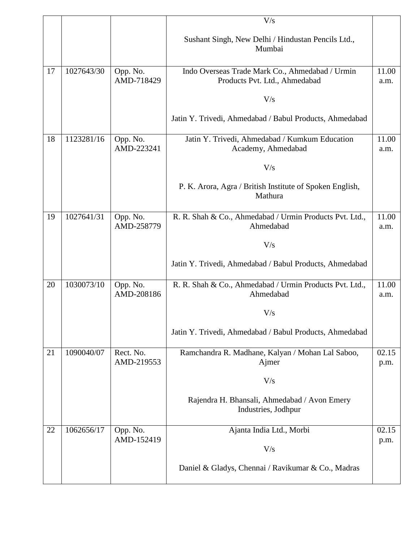|    |            |            | V/s                                                                 |       |
|----|------------|------------|---------------------------------------------------------------------|-------|
|    |            |            | Sushant Singh, New Delhi / Hindustan Pencils Ltd.,<br>Mumbai        |       |
| 17 | 1027643/30 | Opp. No.   | Indo Overseas Trade Mark Co., Ahmedabad / Urmin                     | 11.00 |
|    |            | AMD-718429 | Products Pvt. Ltd., Ahmedabad                                       | a.m.  |
|    |            |            |                                                                     |       |
|    |            |            | V/s                                                                 |       |
|    |            |            | Jatin Y. Trivedi, Ahmedabad / Babul Products, Ahmedabad             |       |
| 18 | 1123281/16 | Opp. No.   | Jatin Y. Trivedi, Ahmedabad / Kumkum Education                      | 11.00 |
|    |            | AMD-223241 | Academy, Ahmedabad                                                  | a.m.  |
|    |            |            |                                                                     |       |
|    |            |            | V/s                                                                 |       |
|    |            |            |                                                                     |       |
|    |            |            | P. K. Arora, Agra / British Institute of Spoken English,<br>Mathura |       |
|    |            |            |                                                                     |       |
| 19 | 1027641/31 | Opp. No.   | R. R. Shah & Co., Ahmedabad / Urmin Products Pvt. Ltd.,             | 11.00 |
|    |            | AMD-258779 | Ahmedabad                                                           | a.m.  |
|    |            |            |                                                                     |       |
|    |            |            | V/s                                                                 |       |
|    |            |            | Jatin Y. Trivedi, Ahmedabad / Babul Products, Ahmedabad             |       |
| 20 | 1030073/10 | Opp. No.   | R. R. Shah & Co., Ahmedabad / Urmin Products Pvt. Ltd.,             | 11.00 |
|    |            | AMD-208186 | Ahmedabad                                                           | a.m.  |
|    |            |            |                                                                     |       |
|    |            |            | V/s                                                                 |       |
|    |            |            | Jatin Y. Trivedi, Ahmedabad / Babul Products, Ahmedabad             |       |
|    |            |            |                                                                     |       |
| 21 | 1090040/07 | Rect. No.  | Ramchandra R. Madhane, Kalyan / Mohan Lal Saboo,                    | 02.15 |
|    |            | AMD-219553 | Ajmer                                                               | p.m.  |
|    |            |            |                                                                     |       |
|    |            |            | V/s                                                                 |       |
|    |            |            | Rajendra H. Bhansali, Ahmedabad / Avon Emery                        |       |
|    |            |            | Industries, Jodhpur                                                 |       |
|    |            |            |                                                                     |       |
| 22 | 1062656/17 | Opp. No.   | Ajanta India Ltd., Morbi                                            | 02.15 |
|    |            | AMD-152419 |                                                                     | p.m.  |
|    |            |            | V/s                                                                 |       |
|    |            |            | Daniel & Gladys, Chennai / Ravikumar & Co., Madras                  |       |
|    |            |            |                                                                     |       |
|    |            |            |                                                                     |       |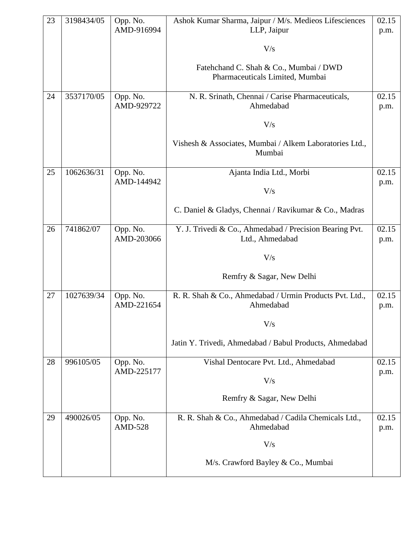| 23 | 3198434/05 | Opp. No.                   | Ashok Kumar Sharma, Jaipur / M/s. Medieos Lifesciences                     | 02.15         |
|----|------------|----------------------------|----------------------------------------------------------------------------|---------------|
|    |            | AMD-916994                 | LLP, Jaipur                                                                | p.m.          |
|    |            |                            | V/s                                                                        |               |
|    |            |                            | Fatehchand C. Shah & Co., Mumbai / DWD                                     |               |
|    |            |                            | Pharmaceuticals Limited, Mumbai                                            |               |
| 24 | 3537170/05 | Opp. No.                   | N. R. Srinath, Chennai / Carise Pharmaceuticals,                           | 02.15         |
|    |            | AMD-929722                 | Ahmedabad                                                                  | p.m.          |
|    |            |                            | V/s                                                                        |               |
|    |            |                            | Vishesh & Associates, Mumbai / Alkem Laboratories Ltd.,<br>Mumbai          |               |
|    |            |                            |                                                                            |               |
| 25 | 1062636/31 | Opp. No.                   | Ajanta India Ltd., Morbi                                                   | 02.15         |
|    |            | AMD-144942                 | V/s                                                                        | p.m.          |
|    |            |                            | C. Daniel & Gladys, Chennai / Ravikumar & Co., Madras                      |               |
| 26 | 741862/07  | Opp. No.<br>AMD-203066     | Y. J. Trivedi & Co., Ahmedabad / Precision Bearing Pvt.<br>Ltd., Ahmedabad | 02.15<br>p.m. |
|    |            |                            |                                                                            |               |
|    |            |                            | V/s                                                                        |               |
|    |            |                            | Remfry & Sagar, New Delhi                                                  |               |
| 27 | 1027639/34 | Opp. No.<br>AMD-221654     | R. R. Shah & Co., Ahmedabad / Urmin Products Pvt. Ltd.,<br>Ahmedabad       | 02.15<br>p.m. |
|    |            |                            | $\rm V/s$                                                                  |               |
|    |            |                            | Jatin Y. Trivedi, Ahmedabad / Babul Products, Ahmedabad                    |               |
| 28 | 996105/05  | Opp. No.                   | Vishal Dentocare Pvt. Ltd., Ahmedabad                                      | 02.15         |
|    |            | AMD-225177                 | V/s                                                                        | p.m.          |
|    |            |                            | Remfry & Sagar, New Delhi                                                  |               |
| 29 | 490026/05  | Opp. No.<br><b>AMD-528</b> | R. R. Shah & Co., Ahmedabad / Cadila Chemicals Ltd.,<br>Ahmedabad          | 02.15<br>p.m. |
|    |            |                            | V/s                                                                        |               |
|    |            |                            | M/s. Crawford Bayley & Co., Mumbai                                         |               |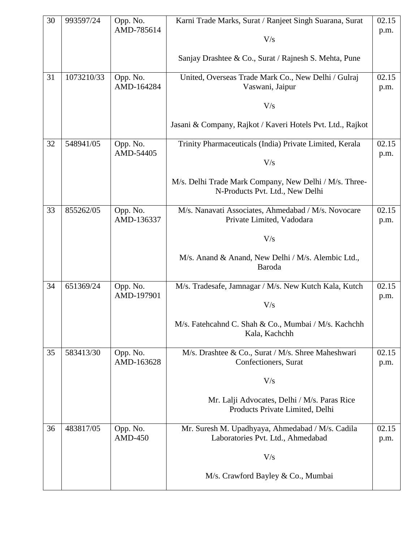| 30 | 993597/24  | Opp. No.<br>AMD-785614 | Karni Trade Marks, Surat / Ranjeet Singh Suarana, Surat                                   | 02.15<br>p.m. |
|----|------------|------------------------|-------------------------------------------------------------------------------------------|---------------|
|    |            |                        | V/s                                                                                       |               |
|    |            |                        | Sanjay Drashtee & Co., Surat / Rajnesh S. Mehta, Pune                                     |               |
| 31 | 1073210/33 | Opp. No.<br>AMD-164284 | United, Overseas Trade Mark Co., New Delhi / Gulraj<br>Vaswani, Jaipur                    | 02.15<br>p.m. |
|    |            |                        | V/s                                                                                       |               |
|    |            |                        | Jasani & Company, Rajkot / Kaveri Hotels Pvt. Ltd., Rajkot                                |               |
| 32 | 548941/05  | Opp. No.<br>AMD-54405  | Trinity Pharmaceuticals (India) Private Limited, Kerala                                   | 02.15<br>p.m. |
|    |            |                        | V/s                                                                                       |               |
|    |            |                        | M/s. Delhi Trade Mark Company, New Delhi / M/s. Three-<br>N-Products Pvt. Ltd., New Delhi |               |
| 33 | 855262/05  | Opp. No.<br>AMD-136337 | M/s. Nanavati Associates, Ahmedabad / M/s. Novocare                                       | 02.15         |
|    |            |                        | Private Limited, Vadodara                                                                 | p.m.          |
|    |            |                        | V/s                                                                                       |               |
|    |            |                        | M/s. Anand & Anand, New Delhi / M/s. Alembic Ltd.,<br>Baroda                              |               |
| 34 | 651369/24  | Opp. No.<br>AMD-197901 | M/s. Tradesafe, Jamnagar / M/s. New Kutch Kala, Kutch                                     | 02.15<br>p.m. |
|    |            |                        | V/s                                                                                       |               |
|    |            |                        | M/s. Fatehcahnd C. Shah & Co., Mumbai / M/s. Kachchh<br>Kala, Kachchh                     |               |
| 35 | 583413/30  | Opp. No.<br>AMD-163628 | M/s. Drashtee & Co., Surat / M/s. Shree Maheshwari<br>Confectioners, Surat                | 02.15<br>p.m. |
|    |            |                        | V/s                                                                                       |               |
|    |            |                        | Mr. Lalji Advocates, Delhi / M/s. Paras Rice<br>Products Private Limited, Delhi           |               |
| 36 | 483817/05  | Opp. No.<br>$AMD-450$  | Mr. Suresh M. Upadhyaya, Ahmedabad / M/s. Cadila<br>Laboratories Pvt. Ltd., Ahmedabad     | 02.15<br>p.m. |
|    |            |                        | V/s                                                                                       |               |
|    |            |                        | M/s. Crawford Bayley & Co., Mumbai                                                        |               |
|    |            |                        |                                                                                           |               |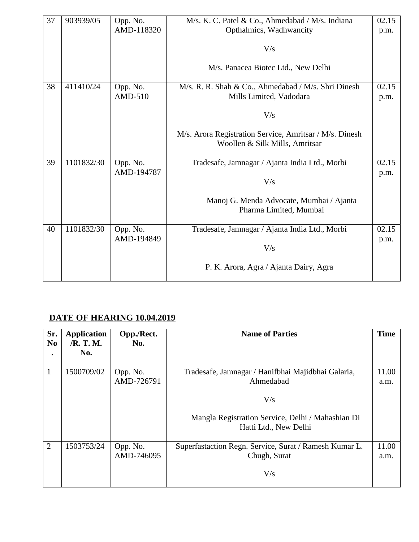| 37 | 903939/05  | Opp. No.   | M/s. K. C. Patel & Co., Ahmedabad / M/s. Indiana        | 02.15 |
|----|------------|------------|---------------------------------------------------------|-------|
|    |            | AMD-118320 | Opthalmics, Wadhwancity                                 | p.m.  |
|    |            |            |                                                         |       |
|    |            |            | V/s                                                     |       |
|    |            |            | M/s. Panacea Biotec Ltd., New Delhi                     |       |
|    |            |            |                                                         |       |
| 38 | 411410/24  | Opp. No.   | M/s. R. R. Shah & Co., Ahmedabad / M/s. Shri Dinesh     | 02.15 |
|    |            | AMD-510    | Mills Limited, Vadodara                                 | p.m.  |
|    |            |            |                                                         |       |
|    |            |            | V/s                                                     |       |
|    |            |            | M/s. Arora Registration Service, Amritsar / M/s. Dinesh |       |
|    |            |            | Woollen & Silk Mills, Amritsar                          |       |
|    |            |            |                                                         |       |
| 39 | 1101832/30 | Opp. No.   | Tradesafe, Jamnagar / Ajanta India Ltd., Morbi          | 02.15 |
|    |            | AMD-194787 |                                                         | p.m.  |
|    |            |            | V/s                                                     |       |
|    |            |            |                                                         |       |
|    |            |            | Manoj G. Menda Advocate, Mumbai / Ajanta                |       |
|    |            |            | Pharma Limited, Mumbai                                  |       |
| 40 | 1101832/30 | Opp. No.   | Tradesafe, Jamnagar / Ajanta India Ltd., Morbi          | 02.15 |
|    |            | AMD-194849 |                                                         | p.m.  |
|    |            |            | V/s                                                     |       |
|    |            |            |                                                         |       |
|    |            |            | P. K. Arora, Agra / Ajanta Dairy, Agra                  |       |
|    |            |            |                                                         |       |

### **DATE OF HEARING 10.04.2019**

| Sr.<br>N <sub>0</sub> | <b>Application</b><br>/R. T. M.<br>No. | Opp./Rect.<br>No.      | <b>Name of Parties</b>                                                                                                                               | <b>Time</b>   |
|-----------------------|----------------------------------------|------------------------|------------------------------------------------------------------------------------------------------------------------------------------------------|---------------|
| 1                     | 1500709/02                             | Opp. No.<br>AMD-726791 | Tradesafe, Jamnagar / Hanifbhai Majidbhai Galaria,<br>Ahmedabad<br>V/s<br>Mangla Registration Service, Delhi / Mahashian Di<br>Hatti Ltd., New Delhi | 11.00<br>a.m. |
| 2                     | 1503753/24                             | Opp. No.<br>AMD-746095 | Superfastaction Regn. Service, Surat / Ramesh Kumar L.<br>Chugh, Surat<br>V/s                                                                        | 11.00<br>a.m. |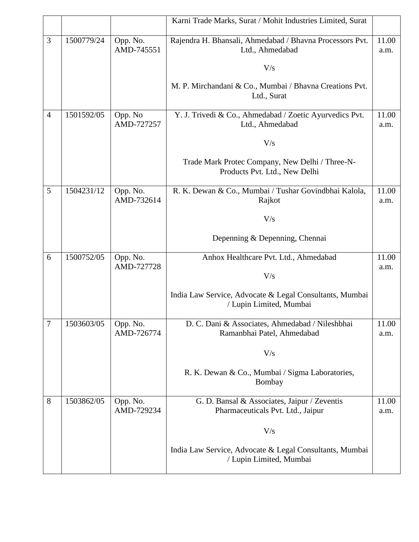|                |            |                        | Karni Trade Marks, Surat / Mohit Industries Limited, Surat                         |               |
|----------------|------------|------------------------|------------------------------------------------------------------------------------|---------------|
| 3              | 1500779/24 | Opp. No.<br>AMD-745551 | Rajendra H. Bhansali, Ahmedabad / Bhavna Processors Pvt.<br>Ltd., Ahmedabad        | 11.00<br>a.m. |
|                |            |                        | V/s                                                                                |               |
|                |            |                        | M. P. Mirchandani & Co., Mumbai / Bhavna Creations Pvt.<br>Ltd., Surat             |               |
| $\overline{4}$ | 1501592/05 | Opp. No<br>AMD-727257  | Y. J. Trivedi & Co., Ahmedabad / Zoetic Ayurvedics Pvt.<br>Ltd., Ahmedabad         | 11.00<br>a.m. |
|                |            |                        | V/s                                                                                |               |
|                |            |                        | Trade Mark Protec Company, New Delhi / Three-N-<br>Products Pvt. Ltd., New Delhi   |               |
| 5              | 1504231/12 | Opp. No.<br>AMD-732614 | R. K. Dewan & Co., Mumbai / Tushar Govindbhai Kalola,<br>Rajkot                    | 11.00<br>a.m. |
|                |            |                        | V/s                                                                                |               |
|                |            |                        | Depenning & Depenning, Chennai                                                     |               |
| 6              | 1500752/05 | Opp. No.<br>AMD-727728 | Anhox Healthcare Pvt. Ltd., Ahmedabad                                              | 11.00<br>a.m. |
|                |            |                        | V/s                                                                                |               |
|                |            |                        | India Law Service, Advocate & Legal Consultants, Mumbai<br>/ Lupin Limited, Mumbai |               |
| $\tau$         | 1503603/05 | Opp. No.<br>AMD-726774 | D. C. Dani & Associates, Ahmedabad / Nileshbhai<br>Ramanbhai Patel, Ahmedabad      | 11.00<br>a.m. |
|                |            |                        | V/s                                                                                |               |
|                |            |                        | R. K. Dewan & Co., Mumbai / Sigma Laboratories,<br>Bombay                          |               |
| 8              | 1503862/05 | Opp. No.<br>AMD-729234 | G. D. Bansal & Associates, Jaipur / Zeventis<br>Pharmaceuticals Pvt. Ltd., Jaipur  | 11.00<br>a.m. |
|                |            |                        | V/s                                                                                |               |
|                |            |                        | India Law Service, Advocate & Legal Consultants, Mumbai<br>/ Lupin Limited, Mumbai |               |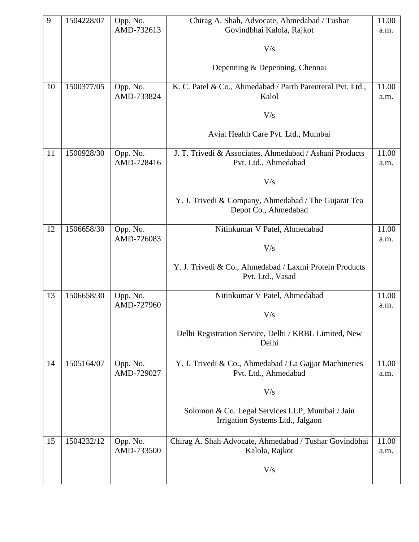| 9  | 1504228/07 | Opp. No.               | Chirag A. Shah, Advocate, Ahmedabad / Tushar                                        | 11.00         |
|----|------------|------------------------|-------------------------------------------------------------------------------------|---------------|
|    |            | AMD-732613             | Govindbhai Kalola, Rajkot                                                           | a.m.          |
|    |            |                        | V/s                                                                                 |               |
|    |            |                        | Depenning & Depenning, Chennai                                                      |               |
| 10 | 1500377/05 | Opp. No.<br>AMD-733824 | K. C. Patel & Co., Ahmedabad / Parth Parenteral Pvt. Ltd.,<br>Kalol                 | 11.00<br>a.m. |
|    |            |                        | V/s                                                                                 |               |
|    |            |                        | Aviat Health Care Pvt. Ltd., Mumbai                                                 |               |
| 11 | 1500928/30 | Opp. No.<br>AMD-728416 | J. T. Trivedi & Associates, Ahmedabad / Ashani Products<br>Pvt. Ltd., Ahmedabad     | 11.00<br>a.m. |
|    |            |                        | V/s                                                                                 |               |
|    |            |                        | Y. J. Trivedi & Company, Ahmedabad / The Gujarat Tea<br>Depot Co., Ahmedabad        |               |
| 12 | 1506658/30 | Opp. No.               | Nitinkumar V Patel, Ahmedabad                                                       | 11.00         |
|    |            | AMD-726083             | V/s                                                                                 | a.m.          |
|    |            |                        | Y. J. Trivedi & Co., Ahmedabad / Laxmi Protein Products<br>Pvt. Ltd., Vasad         |               |
| 13 | 1506658/30 | Opp. No.               | Nitinkumar V Patel, Ahmedabad                                                       | 11.00         |
|    |            | AMD-727960             | V/s                                                                                 | a.m.          |
|    |            |                        | Delhi Registration Service, Delhi / KRBL Limited, New<br>Delhi                      |               |
| 14 | 1505164/07 | Opp. No.               | Y. J. Trivedi & Co., Ahmedabad / La Gajjar Machineries                              | 11.00         |
|    |            | AMD-729027             | Pvt. Ltd., Ahmedabad                                                                | a.m.          |
|    |            |                        | V/s                                                                                 |               |
|    |            |                        | Solomon & Co. Legal Services LLP, Mumbai / Jain<br>Irrigation Systems Ltd., Jalgaon |               |
| 15 | 1504232/12 | Opp. No.<br>AMD-733500 | Chirag A. Shah Advocate, Ahmedabad / Tushar Govindbhai<br>Kalola, Rajkot            | 11.00<br>a.m. |
|    |            |                        | V/s                                                                                 |               |
|    |            |                        |                                                                                     |               |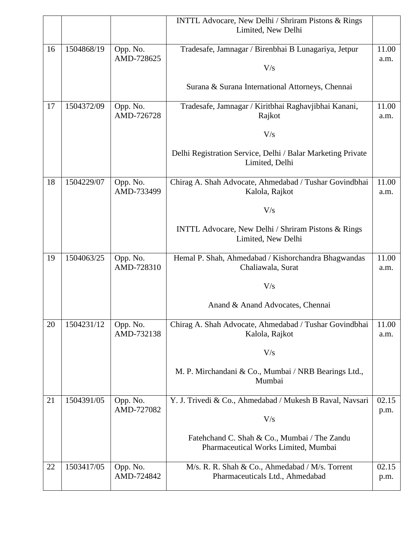|    |            |                        | <b>INTTL Advocare, New Delhi / Shriram Pistons &amp; Rings</b>            |               |
|----|------------|------------------------|---------------------------------------------------------------------------|---------------|
|    |            |                        | Limited, New Delhi                                                        |               |
|    | 1504868/19 |                        |                                                                           |               |
| 16 |            | Opp. No.<br>AMD-728625 | Tradesafe, Jamnagar / Birenbhai B Lunagariya, Jetpur                      | 11.00<br>a.m. |
|    |            |                        | V/s                                                                       |               |
|    |            |                        |                                                                           |               |
|    |            |                        | Surana & Surana International Attorneys, Chennai                          |               |
| 17 | 1504372/09 | Opp. No.               | Tradesafe, Jamnagar / Kiritbhai Raghavjibhai Kanani,                      | 11.00         |
|    |            | AMD-726728             | Rajkot                                                                    | a.m.          |
|    |            |                        | V/s                                                                       |               |
|    |            |                        | Delhi Registration Service, Delhi / Balar Marketing Private               |               |
|    |            |                        | Limited, Delhi                                                            |               |
| 18 | 1504229/07 | Opp. No.               | Chirag A. Shah Advocate, Ahmedabad / Tushar Govindbhai                    | 11.00         |
|    |            | AMD-733499             | Kalola, Rajkot                                                            | a.m.          |
|    |            |                        | V/s                                                                       |               |
|    |            |                        |                                                                           |               |
|    |            |                        | INTTL Advocare, New Delhi / Shriram Pistons & Rings<br>Limited, New Delhi |               |
|    |            |                        |                                                                           |               |
| 19 | 1504063/25 | Opp. No.               | Hemal P. Shah, Ahmedabad / Kishorchandra Bhagwandas                       | 11.00         |
|    |            | AMD-728310             | Chaliawala, Surat                                                         | a.m.          |
|    |            |                        | V/s                                                                       |               |
|    |            |                        |                                                                           |               |
|    |            |                        | Anand & Anand Advocates, Chennai                                          |               |
| 20 | 1504231/12 | Opp. No.               | Chirag A. Shah Advocate, Ahmedabad / Tushar Govindbhai                    | 11.00         |
|    |            | AMD-732138             | Kalola, Rajkot                                                            | a.m.          |
|    |            |                        | V/s                                                                       |               |
|    |            |                        | M. P. Mirchandani & Co., Mumbai / NRB Bearings Ltd.,                      |               |
|    |            |                        | Mumbai                                                                    |               |
| 21 | 1504391/05 | Opp. No.               | Y. J. Trivedi & Co., Ahmedabad / Mukesh B Raval, Navsari                  | 02.15         |
|    |            | AMD-727082             |                                                                           | p.m.          |
|    |            |                        | V/s                                                                       |               |
|    |            |                        | Fatehchand C. Shah & Co., Mumbai / The Zandu                              |               |
|    |            |                        | Pharmaceutical Works Limited, Mumbai                                      |               |
| 22 | 1503417/05 | Opp. No.               | M/s. R. R. Shah & Co., Ahmedabad / M/s. Torrent                           | 02.15         |
|    |            | AMD-724842             | Pharmaceuticals Ltd., Ahmedabad                                           | p.m.          |
|    |            |                        |                                                                           |               |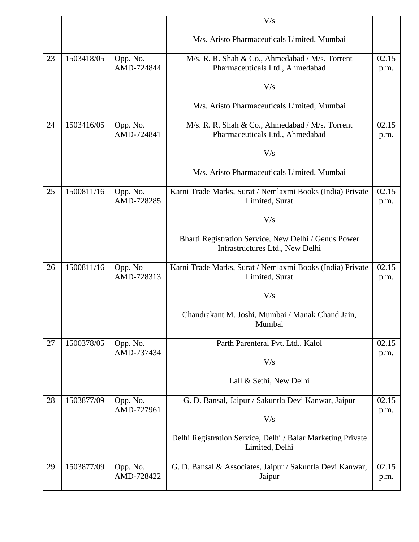|    |            |                        | V/s                                                                                     |               |
|----|------------|------------------------|-----------------------------------------------------------------------------------------|---------------|
|    |            |                        | M/s. Aristo Pharmaceuticals Limited, Mumbai                                             |               |
| 23 | 1503418/05 | Opp. No.<br>AMD-724844 | M/s. R. R. Shah & Co., Ahmedabad / M/s. Torrent<br>Pharmaceuticals Ltd., Ahmedabad      | 02.15<br>p.m. |
|    |            |                        | V/s                                                                                     |               |
|    |            |                        | M/s. Aristo Pharmaceuticals Limited, Mumbai                                             |               |
| 24 | 1503416/05 | Opp. No.<br>AMD-724841 | M/s. R. R. Shah & Co., Ahmedabad / M/s. Torrent<br>Pharmaceuticals Ltd., Ahmedabad      | 02.15<br>p.m. |
|    |            |                        | V/s                                                                                     |               |
|    |            |                        | M/s. Aristo Pharmaceuticals Limited, Mumbai                                             |               |
| 25 | 1500811/16 | Opp. No.<br>AMD-728285 | Karni Trade Marks, Surat / Nemlaxmi Books (India) Private<br>Limited, Surat             | 02.15<br>p.m. |
|    |            |                        | V/s                                                                                     |               |
|    |            |                        | Bharti Registration Service, New Delhi / Genus Power<br>Infrastructures Ltd., New Delhi |               |
| 26 | 1500811/16 | Opp. No<br>AMD-728313  | Karni Trade Marks, Surat / Nemlaxmi Books (India) Private<br>Limited, Surat             | 02.15<br>p.m. |
|    |            |                        | V/s                                                                                     |               |
|    |            |                        | Chandrakant M. Joshi, Mumbai / Manak Chand Jain,<br>Mumbai                              |               |
| 27 | 1500378/05 | Opp. No.               | Parth Parenteral Pvt. Ltd., Kalol                                                       | 02.15         |
|    |            | AMD-737434             | V/s                                                                                     | p.m.          |
|    |            |                        | Lall & Sethi, New Delhi                                                                 |               |
| 28 | 1503877/09 | Opp. No.<br>AMD-727961 | G. D. Bansal, Jaipur / Sakuntla Devi Kanwar, Jaipur                                     | 02.15<br>p.m. |
|    |            |                        | V/s                                                                                     |               |
|    |            |                        | Delhi Registration Service, Delhi / Balar Marketing Private<br>Limited, Delhi           |               |
| 29 | 1503877/09 | Opp. No.<br>AMD-728422 | G. D. Bansal & Associates, Jaipur / Sakuntla Devi Kanwar,<br>Jaipur                     | 02.15<br>p.m. |
|    |            |                        |                                                                                         |               |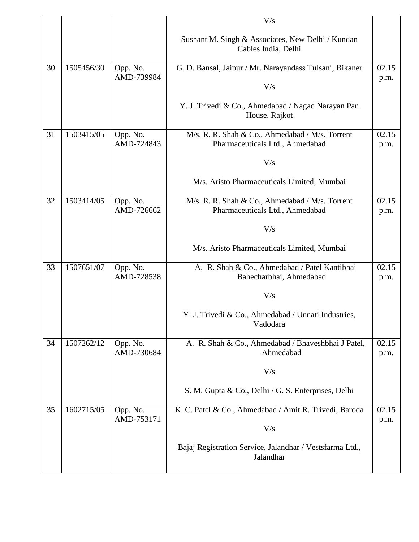|    |            |                        | V/s                                                                      |               |
|----|------------|------------------------|--------------------------------------------------------------------------|---------------|
|    |            |                        | Sushant M. Singh & Associates, New Delhi / Kundan<br>Cables India, Delhi |               |
| 30 | 1505456/30 | Opp. No.               | G. D. Bansal, Jaipur / Mr. Narayandass Tulsani, Bikaner                  | 02.15         |
|    |            | AMD-739984             |                                                                          | p.m.          |
|    |            |                        | V/s                                                                      |               |
|    |            |                        | Y. J. Trivedi & Co., Ahmedabad / Nagad Narayan Pan<br>House, Rajkot      |               |
| 31 | 1503415/05 | Opp. No.               | M/s. R. R. Shah & Co., Ahmedabad / M/s. Torrent                          | 02.15         |
|    |            | AMD-724843             | Pharmaceuticals Ltd., Ahmedabad                                          | p.m.          |
|    |            |                        | V/s                                                                      |               |
|    |            |                        | M/s. Aristo Pharmaceuticals Limited, Mumbai                              |               |
| 32 | 1503414/05 | Opp. No.               | M/s. R. R. Shah & Co., Ahmedabad / M/s. Torrent                          | 02.15         |
|    |            | AMD-726662             | Pharmaceuticals Ltd., Ahmedabad                                          | p.m.          |
|    |            |                        | V/s                                                                      |               |
|    |            |                        | M/s. Aristo Pharmaceuticals Limited, Mumbai                              |               |
| 33 | 1507651/07 | Opp. No.               | A. R. Shah & Co., Ahmedabad / Patel Kantibhai                            | 02.15         |
|    |            | AMD-728538             | Bahecharbhai, Ahmedabad                                                  | p.m.          |
|    |            |                        | V/s                                                                      |               |
|    |            |                        | Y. J. Trivedi & Co., Ahmedabad / Unnati Industries,<br>Vadodara          |               |
| 34 | 1507262/12 | Opp. No.<br>AMD-730684 | A. R. Shah & Co., Ahmedabad / Bhaveshbhai J Patel,<br>Ahmedabad          | 02.15<br>p.m. |
|    |            |                        | V/s                                                                      |               |
|    |            |                        | S. M. Gupta & Co., Delhi / G. S. Enterprises, Delhi                      |               |
| 35 | 1602715/05 | Opp. No.<br>AMD-753171 | K. C. Patel & Co., Ahmedabad / Amit R. Trivedi, Baroda                   | 02.15<br>p.m. |
|    |            |                        | V/s                                                                      |               |
|    |            |                        | Bajaj Registration Service, Jalandhar / Vestsfarma Ltd.,<br>Jalandhar    |               |
|    |            |                        |                                                                          |               |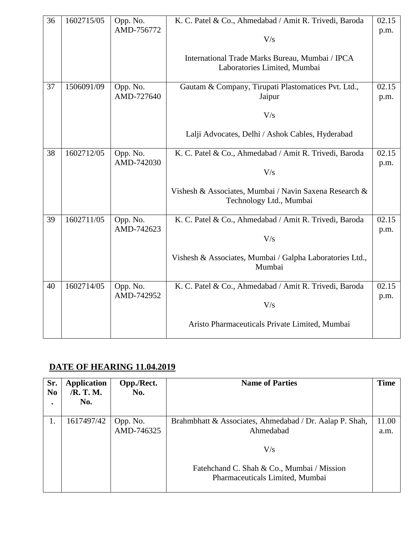| 36 | 1602715/05 | Opp. No.<br>AMD-756772 | K. C. Patel & Co., Ahmedabad / Amit R. Trivedi, Baroda<br>V/s<br>International Trade Marks Bureau, Mumbai / IPCA<br>Laboratories Limited, Mumbai   | 02.15<br>p.m. |
|----|------------|------------------------|----------------------------------------------------------------------------------------------------------------------------------------------------|---------------|
| 37 | 1506091/09 | Opp. No.<br>AMD-727640 | Gautam & Company, Tirupati Plastomatices Pvt. Ltd.,<br>Jaipur<br>V/s<br>Lalji Advocates, Delhi / Ashok Cables, Hyderabad                           | 02.15<br>p.m. |
| 38 | 1602712/05 | Opp. No.<br>AMD-742030 | K. C. Patel & Co., Ahmedabad / Amit R. Trivedi, Baroda<br>V/s<br>Vishesh & Associates, Mumbai / Navin Saxena Research &<br>Technology Ltd., Mumbai | 02.15<br>p.m. |
| 39 | 1602711/05 | Opp. No.<br>AMD-742623 | K. C. Patel & Co., Ahmedabad / Amit R. Trivedi, Baroda<br>V/s<br>Vishesh & Associates, Mumbai / Galpha Laboratories Ltd.,<br>Mumbai                | 02.15<br>p.m. |
| 40 | 1602714/05 | Opp. No.<br>AMD-742952 | K. C. Patel & Co., Ahmedabad / Amit R. Trivedi, Baroda<br>V/s<br>Aristo Pharmaceuticals Private Limited, Mumbai                                    | 02.15<br>p.m. |

# **DATE OF HEARING 11.04.2019**

| Sr.            | <b>Application</b> | Opp./Rect. | <b>Name of Parties</b>                                                        | <b>Time</b> |
|----------------|--------------------|------------|-------------------------------------------------------------------------------|-------------|
| N <sub>0</sub> | /R. T. M.<br>No.   | No.        |                                                                               |             |
|                |                    |            |                                                                               |             |
|                | 1617497/42         | Opp. No.   | Brahmbhatt & Associates, Ahmedabad / Dr. Aalap P. Shah,                       | 11.00       |
|                |                    | AMD-746325 | Ahmedabad                                                                     | a.m.        |
|                |                    |            | V/s                                                                           |             |
|                |                    |            | Fatehchand C. Shah & Co., Mumbai / Mission<br>Pharmaceuticals Limited, Mumbai |             |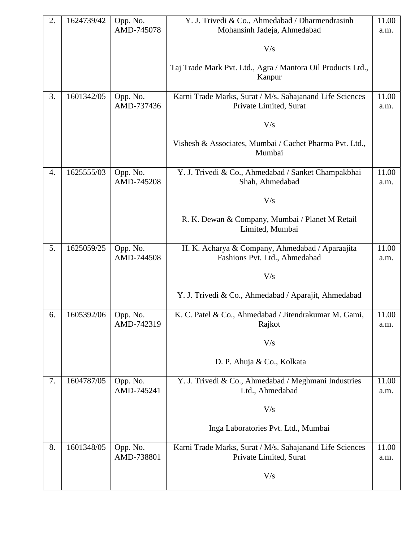| 2. | 1624739/42 | Opp. No.               | Y. J. Trivedi & Co., Ahmedabad / Dharmendrasinh                                    | 11.00         |
|----|------------|------------------------|------------------------------------------------------------------------------------|---------------|
|    |            | AMD-745078             | Mohansinh Jadeja, Ahmedabad                                                        | a.m.          |
|    |            |                        | V/s                                                                                |               |
|    |            |                        | Taj Trade Mark Pvt. Ltd., Agra / Mantora Oil Products Ltd.,<br>Kanpur              |               |
| 3. | 1601342/05 | Opp. No.<br>AMD-737436 | Karni Trade Marks, Surat / M/s. Sahajanand Life Sciences<br>Private Limited, Surat | 11.00<br>a.m. |
|    |            |                        | V/s                                                                                |               |
|    |            |                        | Vishesh & Associates, Mumbai / Cachet Pharma Pvt. Ltd.,<br>Mumbai                  |               |
| 4. | 1625555/03 | Opp. No.<br>AMD-745208 | Y. J. Trivedi & Co., Ahmedabad / Sanket Champakbhai<br>Shah, Ahmedabad             | 11.00<br>a.m. |
|    |            |                        | V/s                                                                                |               |
|    |            |                        | R. K. Dewan & Company, Mumbai / Planet M Retail<br>Limited, Mumbai                 |               |
| 5. | 1625059/25 | Opp. No.<br>AMD-744508 | H. K. Acharya & Company, Ahmedabad / Aparaajita<br>Fashions Pvt. Ltd., Ahmedabad   | 11.00<br>a.m. |
|    |            |                        | V/s                                                                                |               |
|    |            |                        | Y. J. Trivedi & Co., Ahmedabad / Aparajit, Ahmedabad                               |               |
| 6. | 1605392/06 | Opp. No.<br>AMD-742319 | K. C. Patel & Co., Ahmedabad / Jitendrakumar M. Gami,<br>Rajkot                    | 11.00<br>a.m. |
|    |            |                        | V/s                                                                                |               |
|    |            |                        | D. P. Ahuja & Co., Kolkata                                                         |               |
| 7. | 1604787/05 | Opp. No.<br>AMD-745241 | Y. J. Trivedi & Co., Ahmedabad / Meghmani Industries<br>Ltd., Ahmedabad            | 11.00<br>a.m. |
|    |            |                        | V/s                                                                                |               |
|    |            |                        | Inga Laboratories Pvt. Ltd., Mumbai                                                |               |
| 8. | 1601348/05 | Opp. No.<br>AMD-738801 | Karni Trade Marks, Surat / M/s. Sahajanand Life Sciences<br>Private Limited, Surat | 11.00         |
|    |            |                        |                                                                                    | a.m.          |
|    |            |                        | V/s                                                                                |               |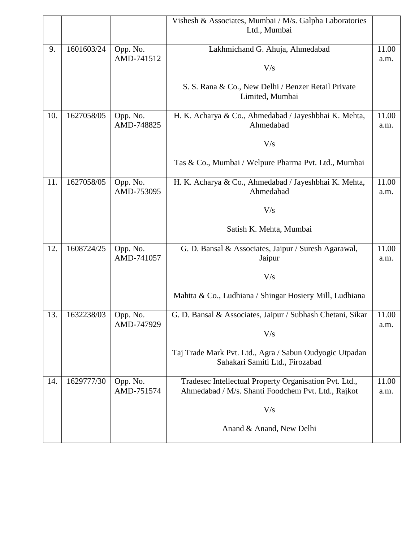|     |            |            | Vishesh & Associates, Mumbai / M/s. Galpha Laboratories                                    |       |
|-----|------------|------------|--------------------------------------------------------------------------------------------|-------|
|     |            |            | Ltd., Mumbai                                                                               |       |
| 9.  | 1601603/24 | Opp. No.   | Lakhmichand G. Ahuja, Ahmedabad                                                            | 11.00 |
|     |            | AMD-741512 | V/s                                                                                        | a.m.  |
|     |            |            |                                                                                            |       |
|     |            |            | S. S. Rana & Co., New Delhi / Benzer Retail Private<br>Limited, Mumbai                     |       |
| 10. | 1627058/05 | Opp. No.   | H. K. Acharya & Co., Ahmedabad / Jayeshbhai K. Mehta,                                      | 11.00 |
|     |            | AMD-748825 | Ahmedabad                                                                                  | a.m.  |
|     |            |            | V/s                                                                                        |       |
|     |            |            | Tas & Co., Mumbai / Welpure Pharma Pvt. Ltd., Mumbai                                       |       |
| 11. | 1627058/05 | Opp. No.   | H. K. Acharya & Co., Ahmedabad / Jayeshbhai K. Mehta,                                      | 11.00 |
|     |            | AMD-753095 | Ahmedabad                                                                                  | a.m.  |
|     |            |            | V/s                                                                                        |       |
|     |            |            | Satish K. Mehta, Mumbai                                                                    |       |
| 12. | 1608724/25 | Opp. No.   | G. D. Bansal & Associates, Jaipur / Suresh Agarawal,                                       | 11.00 |
|     |            | AMD-741057 | Jaipur                                                                                     | a.m.  |
|     |            |            | V/s                                                                                        |       |
|     |            |            | Mahtta & Co., Ludhiana / Shingar Hosiery Mill, Ludhiana                                    |       |
| 13. | 1632238/03 | Opp. No.   | G. D. Bansal & Associates, Jaipur / Subhash Chetani, Sikar                                 | 11.00 |
|     |            | AMD-747929 | V/s                                                                                        | a.m.  |
|     |            |            |                                                                                            |       |
|     |            |            | Taj Trade Mark Pvt. Ltd., Agra / Sabun Oudyogic Utpadan<br>Sahakari Samiti Ltd., Firozabad |       |
| 14. | 1629777/30 | Opp. No.   | Tradesec Intellectual Property Organisation Pvt. Ltd.,                                     | 11.00 |
|     |            | AMD-751574 | Ahmedabad / M/s. Shanti Foodchem Pvt. Ltd., Rajkot                                         | a.m.  |
|     |            |            | V/s                                                                                        |       |
|     |            |            | Anand & Anand, New Delhi                                                                   |       |
|     |            |            |                                                                                            |       |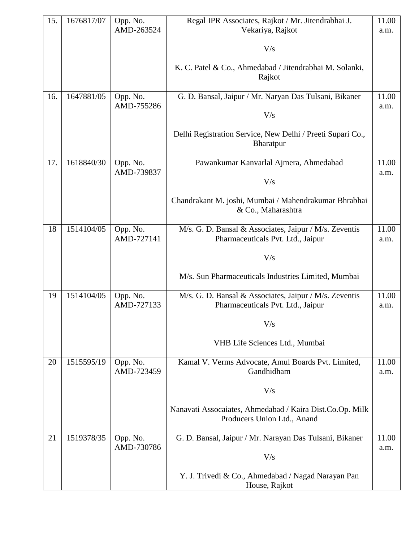| 15. | 1676817/07 | Opp. No.<br>AMD-263524 | Regal IPR Associates, Rajkot / Mr. Jitendrabhai J.<br>Vekariya, Rajkot                      | 11.00<br>a.m. |
|-----|------------|------------------------|---------------------------------------------------------------------------------------------|---------------|
|     |            |                        |                                                                                             |               |
|     |            |                        | V/s                                                                                         |               |
|     |            |                        | K. C. Patel & Co., Ahmedabad / Jitendrabhai M. Solanki,<br>Rajkot                           |               |
| 16. | 1647881/05 | Opp. No.               | G. D. Bansal, Jaipur / Mr. Naryan Das Tulsani, Bikaner                                      | 11.00         |
|     |            | AMD-755286             | V/s                                                                                         | a.m.          |
|     |            |                        | Delhi Registration Service, New Delhi / Preeti Supari Co.,<br>Bharatpur                     |               |
| 17. | 1618840/30 | Opp. No.<br>AMD-739837 | Pawankumar Kanvarlal Ajmera, Ahmedabad                                                      | 11.00         |
|     |            |                        | V/s                                                                                         | a.m.          |
|     |            |                        | Chandrakant M. joshi, Mumbai / Mahendrakumar Bhrabhai<br>& Co., Maharashtra                 |               |
| 18  | 1514104/05 | Opp. No.<br>AMD-727141 | M/s. G. D. Bansal & Associates, Jaipur / M/s. Zeventis                                      | 11.00         |
|     |            |                        | Pharmaceuticals Pvt. Ltd., Jaipur                                                           | a.m.          |
|     |            |                        | V/s                                                                                         |               |
|     |            |                        | M/s. Sun Pharmaceuticals Industries Limited, Mumbai                                         |               |
| 19  | 1514104/05 | Opp. No.<br>AMD-727133 | M/s. G. D. Bansal & Associates, Jaipur / M/s. Zeventis<br>Pharmaceuticals Pvt. Ltd., Jaipur | 11.00<br>a.m. |
|     |            |                        | V/s                                                                                         |               |
|     |            |                        | VHB Life Sciences Ltd., Mumbai                                                              |               |
| 20  | 1515595/19 | Opp. No.<br>AMD-723459 | Kamal V. Verms Advocate, Amul Boards Pvt. Limited,<br>Gandhidham                            | 11.00<br>a.m. |
|     |            |                        | V/s                                                                                         |               |
|     |            |                        | Nanavati Assocaiates, Ahmedabad / Kaira Dist.Co.Op. Milk                                    |               |
|     |            |                        | Producers Union Ltd., Anand                                                                 |               |
| 21  | 1519378/35 | Opp. No.<br>AMD-730786 | G. D. Bansal, Jaipur / Mr. Narayan Das Tulsani, Bikaner                                     | 11.00<br>a.m. |
|     |            |                        | V/s                                                                                         |               |
|     |            |                        | Y. J. Trivedi & Co., Ahmedabad / Nagad Narayan Pan<br>House, Rajkot                         |               |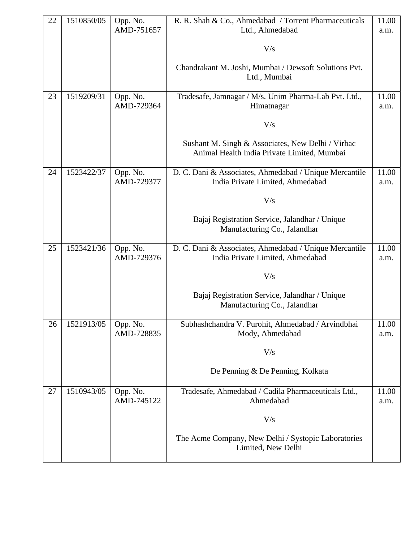| 22 | 1510850/05 | Opp. No.               | R. R. Shah & Co., Ahmedabad / Torrent Pharmaceuticals                                            | 11.00         |
|----|------------|------------------------|--------------------------------------------------------------------------------------------------|---------------|
|    |            | AMD-751657             | Ltd., Ahmedabad                                                                                  | a.m.          |
|    |            |                        | V/s                                                                                              |               |
|    |            |                        | Chandrakant M. Joshi, Mumbai / Dewsoft Solutions Pvt.<br>Ltd., Mumbai                            |               |
|    |            |                        |                                                                                                  |               |
| 23 | 1519209/31 | Opp. No.<br>AMD-729364 | Tradesafe, Jamnagar / M/s. Unim Pharma-Lab Pvt. Ltd.,<br>Himatnagar                              | 11.00<br>a.m. |
|    |            |                        | V/s                                                                                              |               |
|    |            |                        | Sushant M. Singh & Associates, New Delhi / Virbac<br>Animal Health India Private Limited, Mumbai |               |
| 24 | 1523422/37 | Opp. No.<br>AMD-729377 | D. C. Dani & Associates, Ahmedabad / Unique Mercantile<br>India Private Limited, Ahmedabad       | 11.00<br>a.m. |
|    |            |                        | V/s                                                                                              |               |
|    |            |                        | Bajaj Registration Service, Jalandhar / Unique<br>Manufacturing Co., Jalandhar                   |               |
| 25 | 1523421/36 | Opp. No.<br>AMD-729376 | D. C. Dani & Associates, Ahmedabad / Unique Mercantile<br>India Private Limited, Ahmedabad       | 11.00<br>a.m. |
|    |            |                        | V/s                                                                                              |               |
|    |            |                        | Bajaj Registration Service, Jalandhar / Unique<br>Manufacturing Co., Jalandhar                   |               |
| 26 | 1521913/05 | Opp. No.<br>AMD-728835 | Subhashchandra V. Purohit, Ahmedabad / Arvindbhai<br>Mody, Ahmedabad                             | 11.00<br>a.m. |
|    |            |                        | V/s                                                                                              |               |
|    |            |                        | De Penning & De Penning, Kolkata                                                                 |               |
| 27 | 1510943/05 | Opp. No.<br>AMD-745122 | Tradesafe, Ahmedabad / Cadila Pharmaceuticals Ltd.,<br>Ahmedabad                                 | 11.00<br>a.m. |
|    |            |                        | V/s                                                                                              |               |
|    |            |                        | The Acme Company, New Delhi / Systopic Laboratories<br>Limited, New Delhi                        |               |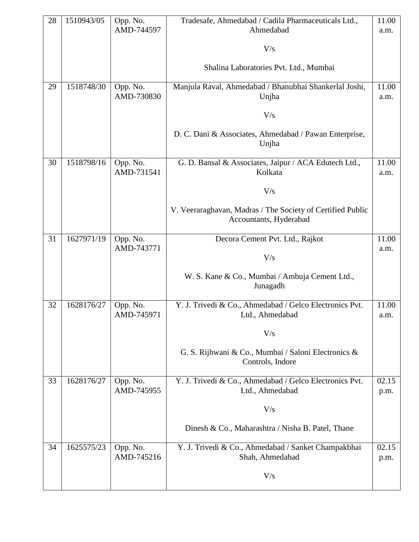| 28 | 1510943/05 | Opp. No.<br>AMD-744597 | Tradesafe, Ahmedabad / Cadila Pharmaceuticals Ltd.,<br>Ahmedabad                     | 11.00<br>a.m. |
|----|------------|------------------------|--------------------------------------------------------------------------------------|---------------|
|    |            |                        |                                                                                      |               |
|    |            |                        | V/s                                                                                  |               |
|    |            |                        | Shalina Laboratories Pvt. Ltd., Mumbai                                               |               |
| 29 | 1518748/30 | Opp. No.<br>AMD-730830 | Manjula Raval, Ahmedabad / Bhanubhai Shankerlal Joshi,<br>Unjha                      | 11.00<br>a.m. |
|    |            |                        |                                                                                      |               |
|    |            |                        | V/s                                                                                  |               |
|    |            |                        | D. C. Dani & Associates, Ahmedabad / Pawan Enterprise,<br>Unjha                      |               |
| 30 | 1518798/16 | Opp. No.<br>AMD-731541 | G. D. Bansal & Associates, Jaipur / ACA Edutech Ltd.,<br>Kolkata                     | 11.00<br>a.m. |
|    |            |                        | V/s                                                                                  |               |
|    |            |                        | V. Veeraraghavan, Madras / The Society of Certified Public<br>Accountants, Hyderabad |               |
|    |            |                        |                                                                                      |               |
| 31 | 1627971/19 | Opp. No.<br>AMD-743771 | Decora Cement Pvt. Ltd., Rajkot                                                      | 11.00<br>a.m. |
|    |            |                        | V/s                                                                                  |               |
|    |            |                        | W. S. Kane & Co., Mumbai / Ambuja Cement Ltd.,<br>Junagadh                           |               |
| 32 | 1628176/27 | Opp. No.               | Y. J. Trivedi & Co., Ahmedabad / Gelco Electronics Pvt.                              | 11.00         |
|    |            | AMD-745971             | Ltd., Ahmedabad                                                                      | a.m.          |
|    |            |                        | V/s                                                                                  |               |
|    |            |                        | G. S. Rijhwani & Co., Mumbai / Saloni Electronics &<br>Controls, Indore              |               |
| 33 | 1628176/27 | Opp. No.               | Y. J. Trivedi & Co., Ahmedabad / Gelco Electronics Pvt.                              | 02.15         |
|    |            | AMD-745955             | Ltd., Ahmedabad                                                                      | p.m.          |
|    |            |                        | V/s                                                                                  |               |
|    |            |                        | Dinesh & Co., Maharashtra / Nisha B. Patel, Thane                                    |               |
| 34 | 1625575/23 | Opp. No.               | Y. J. Trivedi & Co., Ahmedabad / Sanket Champakbhai                                  | 02.15         |
|    |            | AMD-745216             | Shah, Ahmedabad                                                                      | p.m.          |
|    |            |                        | V/s                                                                                  |               |
|    |            |                        |                                                                                      |               |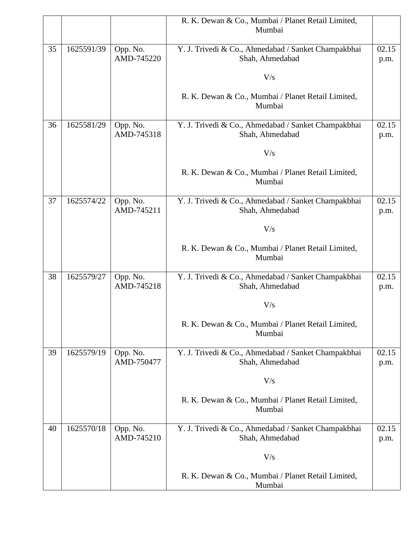|    |            |            | R. K. Dewan & Co., Mumbai / Planet Retail Limited,           |       |
|----|------------|------------|--------------------------------------------------------------|-------|
|    |            |            | Mumbai                                                       |       |
| 35 | 1625591/39 | Opp. No.   | Y. J. Trivedi & Co., Ahmedabad / Sanket Champakbhai          | 02.15 |
|    |            | AMD-745220 | Shah, Ahmedabad                                              | p.m.  |
|    |            |            | V/s                                                          |       |
|    |            |            |                                                              |       |
|    |            |            | R. K. Dewan & Co., Mumbai / Planet Retail Limited,<br>Mumbai |       |
| 36 | 1625581/29 | Opp. No.   | Y. J. Trivedi & Co., Ahmedabad / Sanket Champakbhai          | 02.15 |
|    |            | AMD-745318 | Shah, Ahmedabad                                              | p.m.  |
|    |            |            | V/s                                                          |       |
|    |            |            | R. K. Dewan & Co., Mumbai / Planet Retail Limited,<br>Mumbai |       |
| 37 | 1625574/22 | Opp. No.   | Y. J. Trivedi & Co., Ahmedabad / Sanket Champakbhai          | 02.15 |
|    |            | AMD-745211 | Shah, Ahmedabad                                              | p.m.  |
|    |            |            | V/s                                                          |       |
|    |            |            | R. K. Dewan & Co., Mumbai / Planet Retail Limited,           |       |
|    |            |            | Mumbai                                                       |       |
| 38 | 1625579/27 | Opp. No.   | Y. J. Trivedi & Co., Ahmedabad / Sanket Champakbhai          | 02.15 |
|    |            | AMD-745218 | Shah, Ahmedabad                                              | p.m.  |
|    |            |            | V/s                                                          |       |
|    |            |            | R. K. Dewan & Co., Mumbai / Planet Retail Limited,<br>Mumbai |       |
| 39 | 1625579/19 | Opp. No.   | Y. J. Trivedi & Co., Ahmedabad / Sanket Champakbhai          | 02.15 |
|    |            | AMD-750477 | Shah, Ahmedabad                                              | p.m.  |
|    |            |            | V/s                                                          |       |
|    |            |            | R. K. Dewan & Co., Mumbai / Planet Retail Limited,<br>Mumbai |       |
| 40 | 1625570/18 | Opp. No.   | Y. J. Trivedi & Co., Ahmedabad / Sanket Champakbhai          | 02.15 |
|    |            | AMD-745210 | Shah, Ahmedabad                                              | p.m.  |
|    |            |            | V/s                                                          |       |
|    |            |            | R. K. Dewan & Co., Mumbai / Planet Retail Limited,<br>Mumbai |       |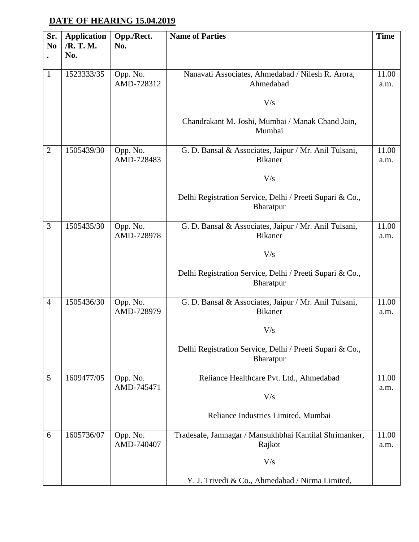### **DATE OF HEARING 15.04.2019**

| Sr.<br>N <sub>0</sub> | <b>Application</b><br>/R. T. M.<br>No. | Opp./Rect.<br>No.      | <b>Name of Parties</b>                                                       | <b>Time</b>   |
|-----------------------|----------------------------------------|------------------------|------------------------------------------------------------------------------|---------------|
| $\mathbf{1}$          | 1523333/35                             | Opp. No.<br>AMD-728312 | Nanavati Associates, Ahmedabad / Nilesh R. Arora,<br>Ahmedabad               | 11.00<br>a.m. |
|                       |                                        |                        | V/s                                                                          |               |
|                       |                                        |                        | Chandrakant M. Joshi, Mumbai / Manak Chand Jain,<br>Mumbai                   |               |
| $\overline{2}$        | 1505439/30                             | Opp. No.<br>AMD-728483 | G. D. Bansal & Associates, Jaipur / Mr. Anil Tulsani,<br><b>Bikaner</b>      | 11.00<br>a.m. |
|                       |                                        |                        | V/s                                                                          |               |
|                       |                                        |                        | Delhi Registration Service, Delhi / Preeti Supari & Co.,<br>Bharatpur        |               |
| 3                     | 1505435/30                             | Opp. No.<br>AMD-728978 | G. D. Bansal & Associates, Jaipur / Mr. Anil Tulsani,<br><b>Bikaner</b>      | 11.00<br>a.m. |
|                       |                                        |                        | V/s                                                                          |               |
|                       |                                        |                        | Delhi Registration Service, Delhi / Preeti Supari & Co.,<br><b>Bharatpur</b> |               |
| $\overline{4}$        | 1505436/30                             | Opp. No.<br>AMD-728979 | G. D. Bansal & Associates, Jaipur / Mr. Anil Tulsani,<br><b>Bikaner</b>      | 11.00<br>a.m. |
|                       |                                        |                        | V/s                                                                          |               |
|                       |                                        |                        | Delhi Registration Service, Delhi / Preeti Supari & Co.,<br>Bharatpur        |               |
| 5                     | 1609477/05                             | Opp. No.               | Reliance Healthcare Pvt. Ltd., Ahmedabad                                     | 11.00         |
|                       |                                        | AMD-745471             | V/s                                                                          | a.m.          |
|                       |                                        |                        | Reliance Industries Limited, Mumbai                                          |               |
| 6                     | 1605736/07                             | Opp. No.<br>AMD-740407 | Tradesafe, Jamnagar / Mansukhbhai Kantilal Shrimanker,<br>Rajkot             | 11.00<br>a.m. |
|                       |                                        |                        | V/s                                                                          |               |
|                       |                                        |                        | Y. J. Trivedi & Co., Ahmedabad / Nirma Limited,                              |               |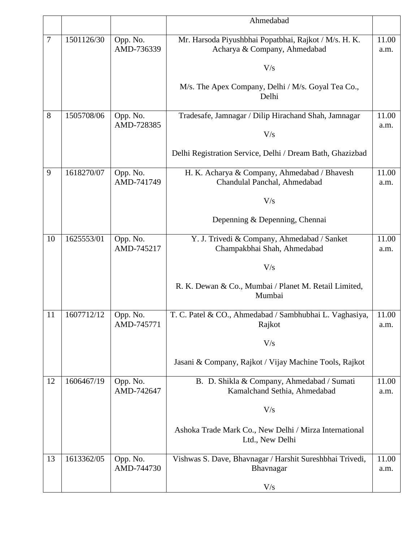|        |            |                        | Ahmedabad                                                                             |               |
|--------|------------|------------------------|---------------------------------------------------------------------------------------|---------------|
| $\tau$ | 1501126/30 | Opp. No.<br>AMD-736339 | Mr. Harsoda Piyushbhai Popatbhai, Rajkot / M/s. H. K.<br>Acharya & Company, Ahmedabad | 11.00<br>a.m. |
|        |            |                        | V/s                                                                                   |               |
|        |            |                        | M/s. The Apex Company, Delhi / M/s. Goyal Tea Co.,<br>Delhi                           |               |
| 8      | 1505708/06 | Opp. No.<br>AMD-728385 | Tradesafe, Jamnagar / Dilip Hirachand Shah, Jamnagar                                  | 11.00<br>a.m. |
|        |            |                        | V/s                                                                                   |               |
|        |            |                        | Delhi Registration Service, Delhi / Dream Bath, Ghazizbad                             |               |
| 9      | 1618270/07 | Opp. No.<br>AMD-741749 | H. K. Acharya & Company, Ahmedabad / Bhavesh<br>Chandulal Panchal, Ahmedabad          | 11.00<br>a.m. |
|        |            |                        | V/s                                                                                   |               |
|        |            |                        | Depenning & Depenning, Chennai                                                        |               |
| 10     | 1625553/01 | Opp. No.<br>AMD-745217 | Y. J. Trivedi & Company, Ahmedabad / Sanket<br>Champakbhai Shah, Ahmedabad            | 11.00<br>a.m. |
|        |            |                        | V/s                                                                                   |               |
|        |            |                        | R. K. Dewan & Co., Mumbai / Planet M. Retail Limited,<br>Mumbai                       |               |
| 11     | 1607712/12 | Opp. No.<br>AMD-745771 | T. C. Patel & CO., Ahmedabad / Sambhubhai L. Vaghasiya,<br>Rajkot                     | 11.00<br>a.m. |
|        |            |                        | V/s                                                                                   |               |
|        |            |                        | Jasani & Company, Rajkot / Vijay Machine Tools, Rajkot                                |               |
| 12     | 1606467/19 | Opp. No.<br>AMD-742647 | B. D. Shikla & Company, Ahmedabad / Sumati<br>Kamalchand Sethia, Ahmedabad            | 11.00<br>a.m. |
|        |            |                        | V/s                                                                                   |               |
|        |            |                        | Ashoka Trade Mark Co., New Delhi / Mirza International<br>Ltd., New Delhi             |               |
| 13     | 1613362/05 | Opp. No.<br>AMD-744730 | Vishwas S. Dave, Bhavnagar / Harshit Sureshbhai Trivedi,<br>Bhavnagar                 | 11.00<br>a.m. |
|        |            |                        | V/s                                                                                   |               |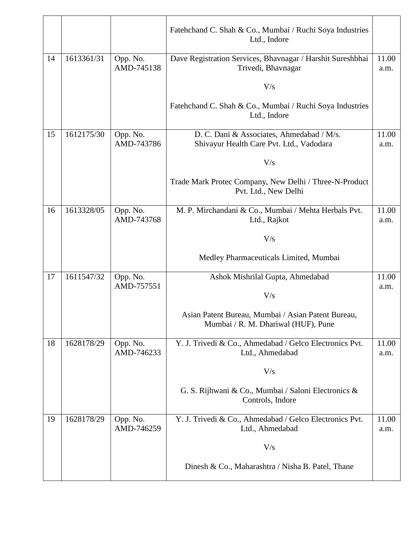|    |            |                        | Fatehchand C. Shah & Co., Mumbai / Ruchi Soya Industries<br>Ltd., Indore                  |               |
|----|------------|------------------------|-------------------------------------------------------------------------------------------|---------------|
| 14 | 1613361/31 | Opp. No.<br>AMD-745138 | Dave Registration Services, Bhavnagar / Harshit Sureshbhai<br>Trivedi, Bhavnagar          | 11.00<br>a.m. |
|    |            |                        | V/s                                                                                       |               |
|    |            |                        | Fatehchand C. Shah & Co., Mumbai / Ruchi Soya Industries<br>Ltd., Indore                  |               |
| 15 | 1612175/30 | Opp. No.<br>AMD-743786 | D. C. Dani & Associates, Ahmedabad / M/s.<br>Shivayur Health Care Pvt. Ltd., Vadodara     | 11.00<br>a.m. |
|    |            |                        | V/s                                                                                       |               |
|    |            |                        | Trade Mark Protec Company, New Delhi / Three-N-Product<br>Pvt. Ltd., New Delhi            |               |
| 16 | 1613328/05 | Opp. No.<br>AMD-743768 | M. P. Mirchandani & Co., Mumbai / Mehta Herbals Pvt.<br>Ltd., Rajkot                      | 11.00<br>a.m. |
|    |            |                        | V/s                                                                                       |               |
|    |            |                        | Medley Pharmaceuticals Limited, Mumbai                                                    |               |
| 17 | 1611547/32 | Opp. No.<br>AMD-757551 | Ashok Mishrilal Gupta, Ahmedabad                                                          | 11.00<br>a.m. |
|    |            |                        | V/s                                                                                       |               |
|    |            |                        | Asian Patent Bureau, Mumbai / Asian Patent Bureau,<br>Mumbai / R. M. Dhariwal (HUF), Pune |               |
| 18 | 1628178/29 | Opp. No.<br>AMD-746233 | Y. J. Trivedi & Co., Ahmedabad / Gelco Electronics Pvt.<br>Ltd., Ahmedabad                | 11.00<br>a.m. |
|    |            |                        | V/s                                                                                       |               |
|    |            |                        | G. S. Rijhwani & Co., Mumbai / Saloni Electronics &<br>Controls, Indore                   |               |
| 19 | 1628178/29 | Opp. No.<br>AMD-746259 | Y. J. Trivedi & Co., Ahmedabad / Gelco Electronics Pvt.<br>Ltd., Ahmedabad                | 11.00<br>a.m. |
|    |            |                        | V/s                                                                                       |               |
|    |            |                        | Dinesh & Co., Maharashtra / Nisha B. Patel, Thane                                         |               |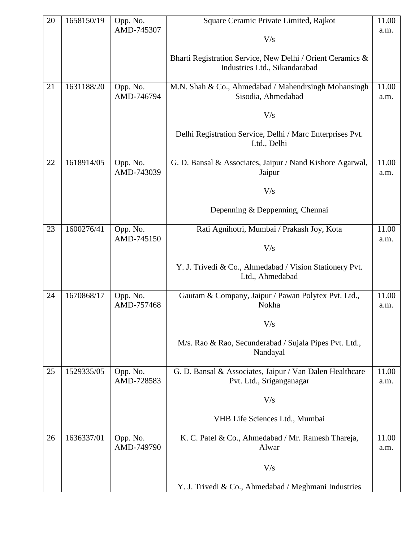| 20 | 1658150/19 | Opp. No.               | Square Ceramic Private Limited, Rajkot                                     | 11.00         |
|----|------------|------------------------|----------------------------------------------------------------------------|---------------|
|    |            | AMD-745307             | V/s                                                                        | a.m.          |
|    |            |                        |                                                                            |               |
|    |            |                        | Bharti Registration Service, New Delhi / Orient Ceramics &                 |               |
|    |            |                        | Industries Ltd., Sikandarabad                                              |               |
| 21 | 1631188/20 | Opp. No.               | M.N. Shah & Co., Ahmedabad / Mahendrsingh Mohansingh                       | 11.00         |
|    |            | AMD-746794             | Sisodia, Ahmedabad                                                         | a.m.          |
|    |            |                        | V/s                                                                        |               |
|    |            |                        | Delhi Registration Service, Delhi / Marc Enterprises Pvt.<br>Ltd., Delhi   |               |
| 22 | 1618914/05 | Opp. No.<br>AMD-743039 | G. D. Bansal & Associates, Jaipur / Nand Kishore Agarwal,                  | 11.00         |
|    |            |                        | Jaipur                                                                     | a.m.          |
|    |            |                        | V/s                                                                        |               |
|    |            |                        | Depenning & Deppenning, Chennai                                            |               |
| 23 | 1600276/41 | Opp. No.               | Rati Agnihotri, Mumbai / Prakash Joy, Kota                                 | 11.00         |
|    |            | AMD-745150             | V/s                                                                        | a.m.          |
|    |            |                        | Y. J. Trivedi & Co., Ahmedabad / Vision Stationery Pvt.<br>Ltd., Ahmedabad |               |
| 24 | 1670868/17 | Opp. No.<br>AMD-757468 | Gautam & Company, Jaipur / Pawan Polytex Pvt. Ltd.,<br>Nokha               | 11.00<br>a.m. |
|    |            |                        | $\rm V/s$                                                                  |               |
|    |            |                        | M/s. Rao & Rao, Secunderabad / Sujala Pipes Pvt. Ltd.,<br>Nandayal         |               |
| 25 | 1529335/05 | Opp. No.               | G. D. Bansal & Associates, Jaipur / Van Dalen Healthcare                   | 11.00         |
|    |            | AMD-728583             | Pvt. Ltd., Sriganganagar                                                   | a.m.          |
|    |            |                        | V/s                                                                        |               |
|    |            |                        | VHB Life Sciences Ltd., Mumbai                                             |               |
| 26 | 1636337/01 | Opp. No.               | K. C. Patel & Co., Ahmedabad / Mr. Ramesh Thareja,                         | 11.00         |
|    |            | AMD-749790             | Alwar                                                                      | a.m.          |
|    |            |                        | V/s                                                                        |               |
|    |            |                        | Y. J. Trivedi & Co., Ahmedabad / Meghmani Industries                       |               |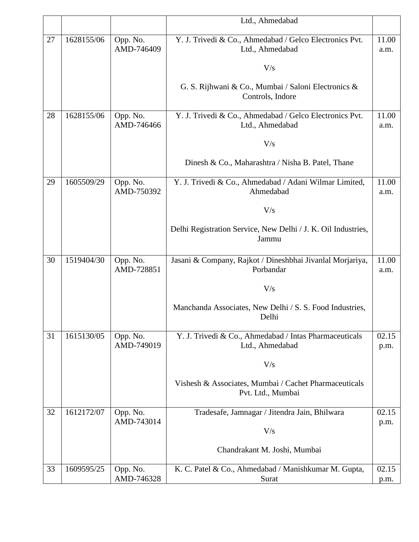|    |            |                        | Ltd., Ahmedabad                                                           |       |
|----|------------|------------------------|---------------------------------------------------------------------------|-------|
|    |            |                        |                                                                           |       |
| 27 | 1628155/06 | Opp. No.               | Y. J. Trivedi & Co., Ahmedabad / Gelco Electronics Pvt.                   | 11.00 |
|    |            | AMD-746409             | Ltd., Ahmedabad                                                           | a.m.  |
|    |            |                        |                                                                           |       |
|    |            |                        | V/s                                                                       |       |
|    |            |                        |                                                                           |       |
|    |            |                        | G. S. Rijhwani & Co., Mumbai / Saloni Electronics &                       |       |
|    |            |                        | Controls, Indore                                                          |       |
| 28 | 1628155/06 | Opp. No.               | Y. J. Trivedi & Co., Ahmedabad / Gelco Electronics Pvt.                   | 11.00 |
|    |            | AMD-746466             | Ltd., Ahmedabad                                                           | a.m.  |
|    |            |                        |                                                                           |       |
|    |            |                        | V/s                                                                       |       |
|    |            |                        |                                                                           |       |
|    |            |                        | Dinesh & Co., Maharashtra / Nisha B. Patel, Thane                         |       |
|    |            |                        |                                                                           |       |
| 29 | 1605509/29 | Opp. No.               | Y. J. Trivedi & Co., Ahmedabad / Adani Wilmar Limited,                    | 11.00 |
|    |            | AMD-750392             | Ahmedabad                                                                 | a.m.  |
|    |            |                        |                                                                           |       |
|    |            |                        | V/s                                                                       |       |
|    |            |                        | Delhi Registration Service, New Delhi / J. K. Oil Industries,             |       |
|    |            |                        | Jammu                                                                     |       |
|    |            |                        |                                                                           |       |
| 30 | 1519404/30 | Opp. No.               | Jasani & Company, Rajkot / Dineshbhai Jivanlal Morjariya,                 | 11.00 |
|    |            | AMD-728851             | Porbandar                                                                 | a.m.  |
|    |            |                        |                                                                           |       |
|    |            |                        | V/s                                                                       |       |
|    |            |                        |                                                                           |       |
|    |            |                        | Manchanda Associates, New Delhi / S. S. Food Industries,                  |       |
|    |            |                        | Delhi                                                                     |       |
|    |            |                        |                                                                           |       |
| 31 | 1615130/05 | Opp. No.<br>AMD-749019 | Y. J. Trivedi & Co., Ahmedabad / Intas Pharmaceuticals<br>Ltd., Ahmedabad | 02.15 |
|    |            |                        |                                                                           | p.m.  |
|    |            |                        | V/s                                                                       |       |
|    |            |                        |                                                                           |       |
|    |            |                        | Vishesh & Associates, Mumbai / Cachet Pharmaceuticals                     |       |
|    |            |                        | Pvt. Ltd., Mumbai                                                         |       |
|    |            |                        |                                                                           |       |
| 32 | 1612172/07 | Opp. No.               | Tradesafe, Jamnagar / Jitendra Jain, Bhilwara                             | 02.15 |
|    |            | AMD-743014             |                                                                           | p.m.  |
|    |            |                        | V/s                                                                       |       |
|    |            |                        |                                                                           |       |
|    |            |                        | Chandrakant M. Joshi, Mumbai                                              |       |
| 33 | 1609595/25 | Opp. No.               | K. C. Patel & Co., Ahmedabad / Manishkumar M. Gupta,                      | 02.15 |
|    |            | AMD-746328             | Surat                                                                     | p.m.  |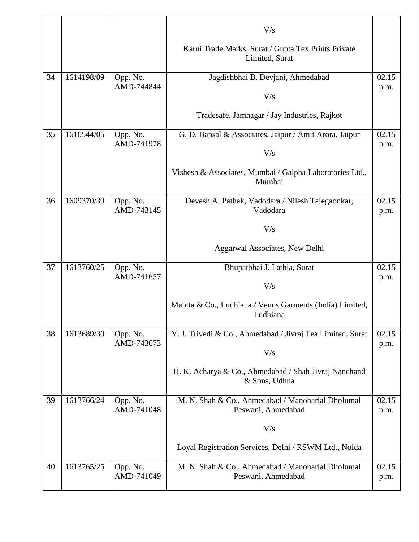|    |            |                        | V/s                                                                     |               |
|----|------------|------------------------|-------------------------------------------------------------------------|---------------|
|    |            |                        | Karni Trade Marks, Surat / Gupta Tex Prints Private<br>Limited, Surat   |               |
| 34 | 1614198/09 | Opp. No.               | Jagdishbhai B. Devjani, Ahmedabad                                       | 02.15         |
|    |            | AMD-744844             | V/s                                                                     | p.m.          |
|    |            |                        | Tradesafe, Jamnagar / Jay Industries, Rajkot                            |               |
| 35 | 1610544/05 | Opp. No.<br>AMD-741978 | G. D. Bansal & Associates, Jaipur / Amit Arora, Jaipur                  | 02.15         |
|    |            |                        | V/s                                                                     | p.m.          |
|    |            |                        | Vishesh & Associates, Mumbai / Galpha Laboratories Ltd.,<br>Mumbai      |               |
| 36 | 1609370/39 | Opp. No.               | Devesh A. Pathak, Vadodara / Nilesh Talegaonkar,                        | 02.15         |
|    |            | AMD-743145             | Vadodara                                                                | p.m.          |
|    |            |                        | V/s                                                                     |               |
|    |            |                        | Aggarwal Associates, New Delhi                                          |               |
| 37 | 1613760/25 | Opp. No.               | Bhupatbhai J. Lathia, Surat                                             | 02.15         |
|    |            | AMD-741657             | V/s                                                                     | p.m.          |
|    |            |                        | Mahtta & Co., Ludhiana / Venus Garments (India) Limited,<br>Ludhiana    |               |
| 38 | 1613689/30 | Opp. No.               | Y. J. Trivedi & Co., Ahmedabad / Jivraj Tea Limited, Surat              | 02.15         |
|    |            | AMD-743673             | V/s                                                                     | p.m.          |
|    |            |                        | H. K. Acharya & Co., Ahmedabad / Shah Jivraj Nanchand<br>& Sons, Udhna  |               |
| 39 | 1613766/24 | Opp. No.<br>AMD-741048 | M. N. Shah & Co., Ahmedabad / Manoharlal Dholumal<br>Peswani, Ahmedabad | 02.15<br>p.m. |
|    |            |                        | V/s                                                                     |               |
|    |            |                        | Loyal Registration Services, Delhi / RSWM Ltd., Noida                   |               |
| 40 | 1613765/25 | Opp. No.               | M. N. Shah & Co., Ahmedabad / Manoharlal Dholumal                       | 02.15         |
|    |            | AMD-741049             | Peswani, Ahmedabad                                                      | p.m.          |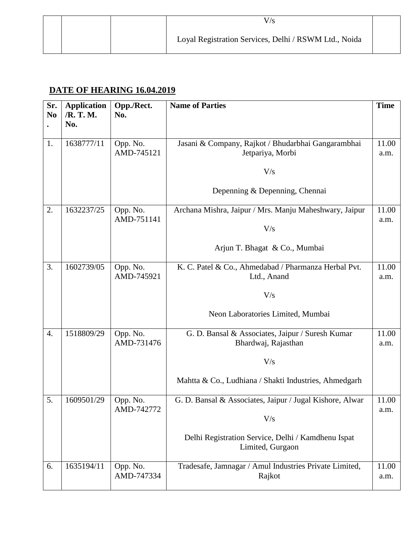|  | Loyal Registration Services, Delhi / RSWM Ltd., Noida |  |
|--|-------------------------------------------------------|--|

#### **DATE OF HEARING 16.04.2019**

| Sr.<br>N <sub>0</sub> | <b>Application</b><br>/R. T. M. | Opp./Rect.<br>No.      | <b>Name of Parties</b>                                                  | <b>Time</b>   |
|-----------------------|---------------------------------|------------------------|-------------------------------------------------------------------------|---------------|
|                       | No.                             |                        |                                                                         |               |
| 1.                    | 1638777/11                      | Opp. No.<br>AMD-745121 | Jasani & Company, Rajkot / Bhudarbhai Gangarambhai<br>Jetpariya, Morbi  | 11.00<br>a.m. |
|                       |                                 |                        | V/s                                                                     |               |
|                       |                                 |                        | Depenning & Depenning, Chennai                                          |               |
| 2.                    | 1632237/25                      | Opp. No.<br>AMD-751141 | Archana Mishra, Jaipur / Mrs. Manju Maheshwary, Jaipur                  | 11.00<br>a.m. |
|                       |                                 |                        | V/s                                                                     |               |
|                       |                                 |                        | Arjun T. Bhagat & Co., Mumbai                                           |               |
| 3.                    | 1602739/05                      | Opp. No.<br>AMD-745921 | K. C. Patel & Co., Ahmedabad / Pharmanza Herbal Pvt.                    | 11.00         |
|                       |                                 |                        | Ltd., Anand                                                             | a.m.          |
|                       |                                 |                        | V/s                                                                     |               |
|                       |                                 |                        | Neon Laboratories Limited, Mumbai                                       |               |
| $\overline{4}$ .      | 1518809/29                      | Opp. No.<br>AMD-731476 | G. D. Bansal & Associates, Jaipur / Suresh Kumar<br>Bhardwaj, Rajasthan | 11.00<br>a.m. |
|                       |                                 |                        | V/s                                                                     |               |
|                       |                                 |                        | Mahtta & Co., Ludhiana / Shakti Industries, Ahmedgarh                   |               |
| 5.                    | 1609501/29                      | Opp. No.               | G. D. Bansal & Associates, Jaipur / Jugal Kishore, Alwar                | 11.00         |
|                       |                                 | AMD-742772             | V/s                                                                     | a.m.          |
|                       |                                 |                        | Delhi Registration Service, Delhi / Kamdhenu Ispat<br>Limited, Gurgaon  |               |
|                       |                                 |                        |                                                                         |               |
| 6.                    | 1635194/11                      | Opp. No.<br>AMD-747334 | Tradesafe, Jamnagar / Amul Industries Private Limited,<br>Rajkot        | 11.00<br>a.m. |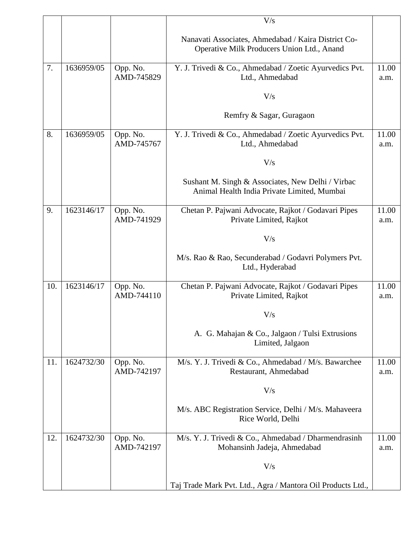|     |            |                        | V/s                                                                                               |               |
|-----|------------|------------------------|---------------------------------------------------------------------------------------------------|---------------|
|     |            |                        | Nanavati Associates, Ahmedabad / Kaira District Co-<br>Operative Milk Producers Union Ltd., Anand |               |
| 7.  | 1636959/05 | Opp. No.<br>AMD-745829 | Y. J. Trivedi & Co., Ahmedabad / Zoetic Ayurvedics Pvt.<br>Ltd., Ahmedabad                        | 11.00<br>a.m. |
|     |            |                        | V/s                                                                                               |               |
|     |            |                        | Remfry & Sagar, Guragaon                                                                          |               |
| 8.  | 1636959/05 | Opp. No.<br>AMD-745767 | Y. J. Trivedi & Co., Ahmedabad / Zoetic Ayurvedics Pvt.<br>Ltd., Ahmedabad                        | 11.00<br>a.m. |
|     |            |                        | V/s                                                                                               |               |
|     |            |                        | Sushant M. Singh & Associates, New Delhi / Virbac<br>Animal Health India Private Limited, Mumbai  |               |
| 9.  | 1623146/17 | Opp. No.<br>AMD-741929 | Chetan P. Pajwani Advocate, Rajkot / Godavari Pipes<br>Private Limited, Rajkot                    | 11.00<br>a.m. |
|     |            |                        | V/s                                                                                               |               |
|     |            |                        | M/s. Rao & Rao, Secunderabad / Godavri Polymers Pvt.<br>Ltd., Hyderabad                           |               |
| 10. | 1623146/17 | Opp. No.<br>AMD-744110 | Chetan P. Pajwani Advocate, Rajkot / Godavari Pipes<br>Private Limited, Rajkot                    | 11.00<br>a.m. |
|     |            |                        | V/s                                                                                               |               |
|     |            |                        | A. G. Mahajan & Co., Jalgaon / Tulsi Extrusions<br>Limited, Jalgaon                               |               |
| 11. | 1624732/30 | Opp. No.<br>AMD-742197 | M/s. Y. J. Trivedi & Co., Ahmedabad / M/s. Bawarchee<br>Restaurant, Ahmedabad                     | 11.00<br>a.m. |
|     |            |                        | V/s                                                                                               |               |
|     |            |                        | M/s. ABC Registration Service, Delhi / M/s. Mahaveera<br>Rice World, Delhi                        |               |
| 12. | 1624732/30 | Opp. No.<br>AMD-742197 | M/s. Y. J. Trivedi & Co., Ahmedabad / Dharmendrasinh<br>Mohansinh Jadeja, Ahmedabad               | 11.00<br>a.m. |
|     |            |                        | V/s                                                                                               |               |
|     |            |                        | Taj Trade Mark Pvt. Ltd., Agra / Mantora Oil Products Ltd.,                                       |               |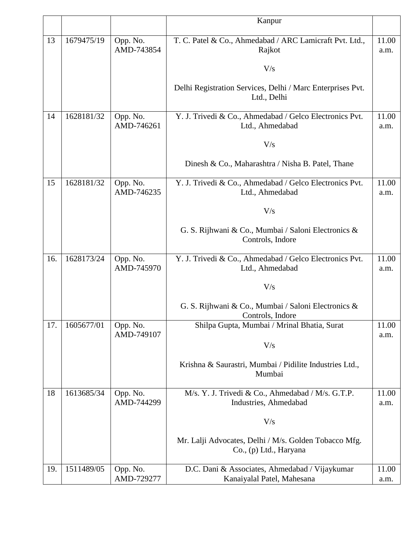|     |            |            | Kanpur                                                                  |       |
|-----|------------|------------|-------------------------------------------------------------------------|-------|
|     |            |            |                                                                         |       |
| 13  | 1679475/19 | Opp. No.   | T. C. Patel & Co., Ahmedabad / ARC Lamicraft Pvt. Ltd.,                 | 11.00 |
|     |            | AMD-743854 | Rajkot                                                                  | a.m.  |
|     |            |            |                                                                         |       |
|     |            |            | V/s                                                                     |       |
|     |            |            |                                                                         |       |
|     |            |            | Delhi Registration Services, Delhi / Marc Enterprises Pvt.              |       |
|     |            |            | Ltd., Delhi                                                             |       |
| 14  | 1628181/32 | Opp. No.   | Y. J. Trivedi & Co., Ahmedabad / Gelco Electronics Pvt.                 | 11.00 |
|     |            | AMD-746261 | Ltd., Ahmedabad                                                         | a.m.  |
|     |            |            |                                                                         |       |
|     |            |            | V/s                                                                     |       |
|     |            |            |                                                                         |       |
|     |            |            | Dinesh & Co., Maharashtra / Nisha B. Patel, Thane                       |       |
|     |            |            |                                                                         |       |
| 15  | 1628181/32 | Opp. No.   | Y. J. Trivedi & Co., Ahmedabad / Gelco Electronics Pvt.                 | 11.00 |
|     |            | AMD-746235 | Ltd., Ahmedabad                                                         | a.m.  |
|     |            |            |                                                                         |       |
|     |            |            | V/s                                                                     |       |
|     |            |            |                                                                         |       |
|     |            |            | G. S. Rijhwani & Co., Mumbai / Saloni Electronics &<br>Controls, Indore |       |
|     |            |            |                                                                         |       |
| 16. | 1628173/24 | Opp. No.   | Y. J. Trivedi & Co., Ahmedabad / Gelco Electronics Pvt.                 | 11.00 |
|     |            | AMD-745970 | Ltd., Ahmedabad                                                         | a.m.  |
|     |            |            |                                                                         |       |
|     |            |            | V/s                                                                     |       |
|     |            |            |                                                                         |       |
|     |            |            | G. S. Rijhwani & Co., Mumbai / Saloni Electronics &                     |       |
|     |            |            | Controls, Indore                                                        |       |
| 17. | 1605677/01 | Opp. No.   | Shilpa Gupta, Mumbai / Mrinal Bhatia, Surat                             | 11.00 |
|     |            | AMD-749107 |                                                                         | a.m.  |
|     |            |            | V/s                                                                     |       |
|     |            |            |                                                                         |       |
|     |            |            | Krishna & Saurastri, Mumbai / Pidilite Industries Ltd.,                 |       |
|     |            |            | Mumbai                                                                  |       |
| 18  | 1613685/34 | Opp. No.   | M/s. Y. J. Trivedi & Co., Ahmedabad / M/s. G.T.P.                       | 11.00 |
|     |            | AMD-744299 | Industries, Ahmedabad                                                   | a.m.  |
|     |            |            |                                                                         |       |
|     |            |            | V/s                                                                     |       |
|     |            |            |                                                                         |       |
|     |            |            | Mr. Lalji Advocates, Delhi / M/s. Golden Tobacco Mfg.                   |       |
|     |            |            | Co., (p) Ltd., Haryana                                                  |       |
|     |            |            |                                                                         |       |
| 19. | 1511489/05 | Opp. No.   | D.C. Dani & Associates, Ahmedabad / Vijaykumar                          | 11.00 |
|     |            | AMD-729277 | Kanaiyalal Patel, Mahesana                                              | a.m.  |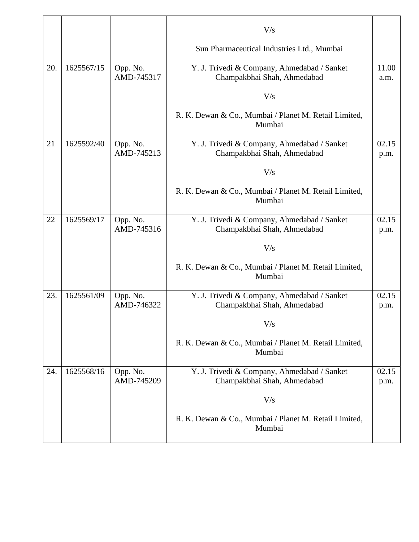|     |            |                        | V/s                                                                        |               |
|-----|------------|------------------------|----------------------------------------------------------------------------|---------------|
|     |            |                        | Sun Pharmaceutical Industries Ltd., Mumbai                                 |               |
| 20. | 1625567/15 | Opp. No.<br>AMD-745317 | Y. J. Trivedi & Company, Ahmedabad / Sanket<br>Champakbhai Shah, Ahmedabad | 11.00<br>a.m. |
|     |            |                        | V/s                                                                        |               |
|     |            |                        | R. K. Dewan & Co., Mumbai / Planet M. Retail Limited,<br>Mumbai            |               |
| 21  | 1625592/40 | Opp. No.<br>AMD-745213 | Y. J. Trivedi & Company, Ahmedabad / Sanket<br>Champakbhai Shah, Ahmedabad | 02.15<br>p.m. |
|     |            |                        | V/s                                                                        |               |
|     |            |                        | R. K. Dewan & Co., Mumbai / Planet M. Retail Limited,<br>Mumbai            |               |
| 22  | 1625569/17 | Opp. No.<br>AMD-745316 | Y. J. Trivedi & Company, Ahmedabad / Sanket<br>Champakbhai Shah, Ahmedabad | 02.15<br>p.m. |
|     |            |                        | V/s                                                                        |               |
|     |            |                        | R. K. Dewan & Co., Mumbai / Planet M. Retail Limited,<br>Mumbai            |               |
| 23. | 1625561/09 | Opp. No.<br>AMD-746322 | Y. J. Trivedi & Company, Ahmedabad / Sanket<br>Champakbhai Shah, Ahmedabad | 02.15<br>p.m. |
|     |            |                        | V/s                                                                        |               |
|     |            |                        | R. K. Dewan & Co., Mumbai / Planet M. Retail Limited,<br>Mumbai            |               |
| 24. | 1625568/16 | Opp. No.<br>AMD-745209 | Y. J. Trivedi & Company, Ahmedabad / Sanket<br>Champakbhai Shah, Ahmedabad | 02.15<br>p.m. |
|     |            |                        | V/s                                                                        |               |
|     |            |                        | R. K. Dewan & Co., Mumbai / Planet M. Retail Limited,<br>Mumbai            |               |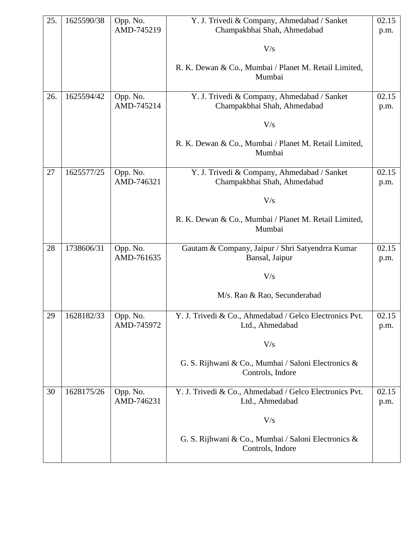| 25. | 1625590/38 | Opp. No.   | Y. J. Trivedi & Company, Ahmedabad / Sanket                     | 02.15 |
|-----|------------|------------|-----------------------------------------------------------------|-------|
|     |            | AMD-745219 | Champakbhai Shah, Ahmedabad                                     | p.m.  |
|     |            |            | V/s                                                             |       |
|     |            |            |                                                                 |       |
|     |            |            | R. K. Dewan & Co., Mumbai / Planet M. Retail Limited,           |       |
|     |            |            | Mumbai                                                          |       |
| 26. | 1625594/42 | Opp. No.   | Y. J. Trivedi & Company, Ahmedabad / Sanket                     | 02.15 |
|     |            | AMD-745214 | Champakbhai Shah, Ahmedabad                                     | p.m.  |
|     |            |            |                                                                 |       |
|     |            |            | V/s                                                             |       |
|     |            |            | R. K. Dewan & Co., Mumbai / Planet M. Retail Limited,<br>Mumbai |       |
|     |            |            |                                                                 |       |
| 27  | 1625577/25 | Opp. No.   | Y. J. Trivedi & Company, Ahmedabad / Sanket                     | 02.15 |
|     |            | AMD-746321 | Champakbhai Shah, Ahmedabad                                     | p.m.  |
|     |            |            | V/s                                                             |       |
|     |            |            | R. K. Dewan & Co., Mumbai / Planet M. Retail Limited,           |       |
|     |            |            | Mumbai                                                          |       |
| 28  | 1738606/31 | Opp. No.   | Gautam & Company, Jaipur / Shri Satyendrra Kumar                | 02.15 |
|     |            | AMD-761635 | Bansal, Jaipur                                                  | p.m.  |
|     |            |            |                                                                 |       |
|     |            |            | V/s                                                             |       |
|     |            |            | M/s. Rao & Rao, Secunderabad                                    |       |
| 29  | 1628182/33 | Opp. No.   | Y. J. Trivedi & Co., Ahmedabad / Gelco Electronics Pvt.         | 02.15 |
|     |            | AMD-745972 | Ltd., Ahmedabad                                                 | p.m.  |
|     |            |            | V/s                                                             |       |
|     |            |            | G. S. Rijhwani & Co., Mumbai / Saloni Electronics &             |       |
|     |            |            | Controls, Indore                                                |       |
| 30  | 1628175/26 | Opp. No.   | Y. J. Trivedi & Co., Ahmedabad / Gelco Electronics Pvt.         | 02.15 |
|     |            | AMD-746231 | Ltd., Ahmedabad                                                 | p.m.  |
|     |            |            | V/s                                                             |       |
|     |            |            | G. S. Rijhwani & Co., Mumbai / Saloni Electronics &             |       |
|     |            |            | Controls, Indore                                                |       |
|     |            |            |                                                                 |       |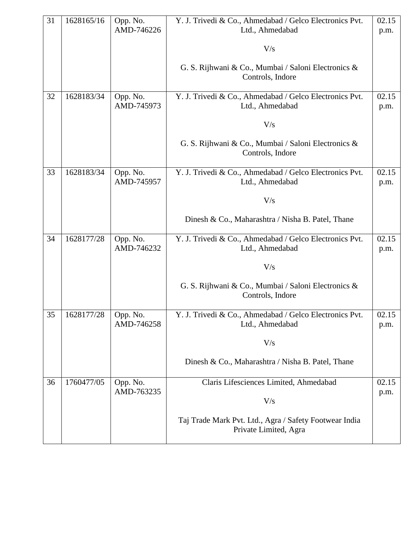| 31 | 1628165/16 | Opp. No.<br>AMD-746226 | Y. J. Trivedi & Co., Ahmedabad / Gelco Electronics Pvt.<br>Ltd., Ahmedabad      | 02.15<br>p.m. |
|----|------------|------------------------|---------------------------------------------------------------------------------|---------------|
|    |            |                        | V/s                                                                             |               |
|    |            |                        | G. S. Rijhwani & Co., Mumbai / Saloni Electronics &<br>Controls, Indore         |               |
| 32 | 1628183/34 | Opp. No.<br>AMD-745973 | Y. J. Trivedi & Co., Ahmedabad / Gelco Electronics Pvt.<br>Ltd., Ahmedabad      | 02.15<br>p.m. |
|    |            |                        | V/s                                                                             |               |
|    |            |                        | G. S. Rijhwani & Co., Mumbai / Saloni Electronics &<br>Controls, Indore         |               |
| 33 | 1628183/34 | Opp. No.<br>AMD-745957 | Y. J. Trivedi & Co., Ahmedabad / Gelco Electronics Pvt.<br>Ltd., Ahmedabad      | 02.15<br>p.m. |
|    |            |                        | V/s                                                                             |               |
|    |            |                        | Dinesh & Co., Maharashtra / Nisha B. Patel, Thane                               |               |
| 34 | 1628177/28 | Opp. No.<br>AMD-746232 | Y. J. Trivedi & Co., Ahmedabad / Gelco Electronics Pvt.<br>Ltd., Ahmedabad      | 02.15<br>p.m. |
|    |            |                        | V/s                                                                             |               |
|    |            |                        | G. S. Rijhwani & Co., Mumbai / Saloni Electronics &<br>Controls, Indore         |               |
| 35 | 1628177/28 | Opp. No.<br>AMD-746258 | Y. J. Trivedi & Co., Ahmedabad / Gelco Electronics Pvt.                         | 02.15         |
|    |            |                        | Ltd., Ahmedabad                                                                 | p.m.          |
|    |            |                        | V/s                                                                             |               |
|    |            |                        | Dinesh & Co., Maharashtra / Nisha B. Patel, Thane                               |               |
| 36 | 1760477/05 | Opp. No.<br>AMD-763235 | Claris Lifesciences Limited, Ahmedabad                                          | 02.15         |
|    |            |                        | V/s                                                                             | p.m.          |
|    |            |                        | Taj Trade Mark Pvt. Ltd., Agra / Safety Footwear India<br>Private Limited, Agra |               |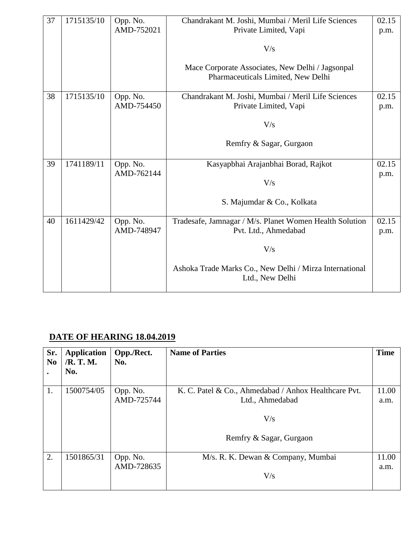| 37 | 1715135/10 | Opp. No.   | Chandrakant M. Joshi, Mumbai / Meril Life Sciences                                     | 02.15 |
|----|------------|------------|----------------------------------------------------------------------------------------|-------|
|    |            | AMD-752021 | Private Limited, Vapi                                                                  | p.m.  |
|    |            |            | V/s                                                                                    |       |
|    |            |            | Mace Corporate Associates, New Delhi / Jagsonpal<br>Pharmaceuticals Limited, New Delhi |       |
| 38 | 1715135/10 | Opp. No.   | Chandrakant M. Joshi, Mumbai / Meril Life Sciences                                     | 02.15 |
|    |            | AMD-754450 | Private Limited, Vapi                                                                  | p.m.  |
|    |            |            | V/s                                                                                    |       |
|    |            |            | Remfry & Sagar, Gurgaon                                                                |       |
| 39 | 1741189/11 | Opp. No.   | Kasyapbhai Arajanbhai Borad, Rajkot                                                    | 02.15 |
|    |            | AMD-762144 |                                                                                        | p.m.  |
|    |            |            | V/s                                                                                    |       |
|    |            |            | S. Majumdar & Co., Kolkata                                                             |       |
| 40 | 1611429/42 | Opp. No.   | Tradesafe, Jamnagar / M/s. Planet Women Health Solution                                | 02.15 |
|    |            | AMD-748947 | Pvt. Ltd., Ahmedabad                                                                   | p.m.  |
|    |            |            | V/s                                                                                    |       |
|    |            |            | Ashoka Trade Marks Co., New Delhi / Mirza International<br>Ltd., New Delhi             |       |

## **DATE OF HEARING 18.04.2019**

| Sr.<br>N <sub>0</sub> | <b>Application</b><br>/R. T. M.<br>No. | Opp./Rect.<br>No. | <b>Name of Parties</b>                               | <b>Time</b> |
|-----------------------|----------------------------------------|-------------------|------------------------------------------------------|-------------|
| 1.                    | 1500754/05                             | Opp. No.          | K. C. Patel & Co., Ahmedabad / Anhox Healthcare Pvt. | 11.00       |
|                       |                                        | AMD-725744        | Ltd., Ahmedabad                                      | a.m.        |
|                       |                                        |                   | V/s<br>Remfry & Sagar, Gurgaon                       |             |
| 2.                    | 1501865/31                             | Opp. No.          | M/s. R. K. Dewan & Company, Mumbai                   | 11.00       |
|                       |                                        | AMD-728635        | V/s                                                  | a.m.        |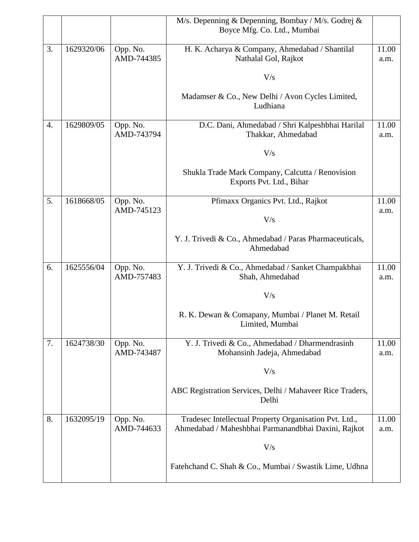|    |            |                        | M/s. Depenning & Depenning, Bombay / M/s. Godrej &<br>Boyce Mfg. Co. Ltd., Mumbai |       |
|----|------------|------------------------|-----------------------------------------------------------------------------------|-------|
|    |            |                        |                                                                                   |       |
| 3. | 1629320/06 | Opp. No.<br>AMD-744385 | H. K. Acharya & Company, Ahmedabad / Shantilal<br>Nathalal Gol, Rajkot            | 11.00 |
|    |            |                        |                                                                                   | a.m.  |
|    |            |                        | V/s                                                                               |       |
|    |            |                        | Madamser & Co., New Delhi / Avon Cycles Limited,<br>Ludhiana                      |       |
| 4. | 1629809/05 | Opp. No.               | D.C. Dani, Ahmedabad / Shri Kalpeshbhai Harilal                                   | 11.00 |
|    |            | AMD-743794             | Thakkar, Ahmedabad                                                                | a.m.  |
|    |            |                        | V/s                                                                               |       |
|    |            |                        | Shukla Trade Mark Company, Calcutta / Renovision<br>Exports Pvt. Ltd., Bihar      |       |
| 5. | 1618668/05 | Opp. No.               | Pfimaxx Organics Pvt. Ltd., Rajkot                                                | 11.00 |
|    |            | AMD-745123             | V/s                                                                               | a.m.  |
|    |            |                        |                                                                                   |       |
|    |            |                        | Y. J. Trivedi & Co., Ahmedabad / Paras Pharmaceuticals,<br>Ahmedabad              |       |
| 6. | 1625556/04 | Opp. No.               | Y. J. Trivedi & Co., Ahmedabad / Sanket Champakbhai                               | 11.00 |
|    |            | AMD-757483             | Shah, Ahmedabad                                                                   | a.m.  |
|    |            |                        | V/s                                                                               |       |
|    |            |                        | R. K. Dewan & Comapany, Mumbai / Planet M. Retail<br>Limited, Mumbai              |       |
| 7. | 1624738/30 | Opp. No.               | Y. J. Trivedi & Co., Ahmedabad / Dharmendrasinh                                   | 11.00 |
|    |            | AMD-743487             | Mohansinh Jadeja, Ahmedabad                                                       | a.m.  |
|    |            |                        | V/s                                                                               |       |
|    |            |                        | ABC Registration Services, Delhi / Mahaveer Rice Traders,                         |       |
|    |            |                        | Delhi                                                                             |       |
| 8. | 1632095/19 | Opp. No.               | Tradesec Intellectual Property Organisation Pvt. Ltd.,                            | 11.00 |
|    |            | AMD-744633             | Ahmedabad / Maheshbhai Parmanandbhai Daxini, Rajkot                               | a.m.  |
|    |            |                        | V/s                                                                               |       |
|    |            |                        | Fatehchand C. Shah & Co., Mumbai / Swastik Lime, Udhna                            |       |
|    |            |                        |                                                                                   |       |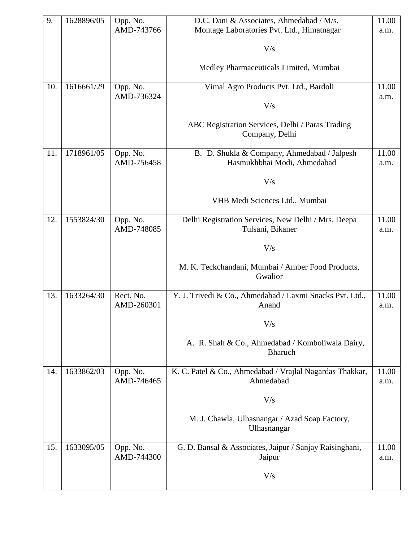| 9.  | 1628896/05 | Opp. No.<br>AMD-743766  | D.C. Dani & Associates, Ahmedabad / M/s.<br>Montage Laboratories Pvt. Ltd., Himatnagar | 11.00<br>a.m. |
|-----|------------|-------------------------|----------------------------------------------------------------------------------------|---------------|
|     |            |                         | V/s                                                                                    |               |
|     |            |                         |                                                                                        |               |
|     |            |                         | Medley Pharmaceuticals Limited, Mumbai                                                 |               |
| 10. | 1616661/29 | Opp. No.<br>AMD-736324  | Vimal Agro Products Pvt. Ltd., Bardoli                                                 | 11.00<br>a.m. |
|     |            |                         | V/s                                                                                    |               |
|     |            |                         | ABC Registration Services, Delhi / Paras Trading<br>Company, Delhi                     |               |
| 11. | 1718961/05 | Opp. No.<br>AMD-756458  | B. D. Shukla & Company, Ahmedabad / Jalpesh<br>Hasmukhbhai Modi, Ahmedabad             | 11.00<br>a.m. |
|     |            |                         | V/s                                                                                    |               |
|     |            |                         | VHB Medi Sciences Ltd., Mumbai                                                         |               |
| 12. | 1553824/30 | Opp. No.<br>AMD-748085  | Delhi Registration Services, New Delhi / Mrs. Deepa<br>Tulsani, Bikaner                | 11.00<br>a.m. |
|     |            |                         | V/s                                                                                    |               |
|     |            |                         |                                                                                        |               |
|     |            |                         | M. K. Teckchandani, Mumbai / Amber Food Products,<br>Gwalior                           |               |
| 13. | 1633264/30 | Rect. No.<br>AMD-260301 | Y. J. Trivedi & Co., Ahmedabad / Laxmi Snacks Pvt. Ltd.,<br>Anand                      | 11.00<br>a.m. |
|     |            |                         | $\rm V/s$                                                                              |               |
|     |            |                         | A. R. Shah & Co., Ahmedabad / Komboliwala Dairy,<br><b>Bharuch</b>                     |               |
| 14. | 1633862/03 | Opp. No.                | K. C. Patel & Co., Ahmedabad / Vrajlal Nagardas Thakkar,                               | 11.00         |
|     |            | AMD-746465              | Ahmedabad                                                                              | a.m.          |
|     |            |                         | V/s                                                                                    |               |
|     |            |                         | M. J. Chawla, Ulhasnangar / Azad Soap Factory,<br>Ulhasnangar                          |               |
| 15. | 1633095/05 | Opp. No.<br>AMD-744300  | G. D. Bansal & Associates, Jaipur / Sanjay Raisinghani,<br>Jaipur                      | 11.00<br>a.m. |
|     |            |                         |                                                                                        |               |
|     |            |                         | V/s                                                                                    |               |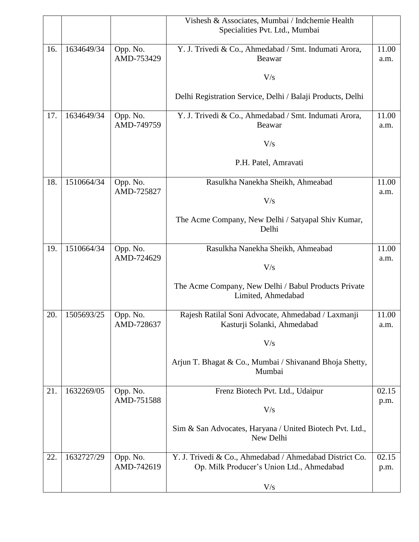|     |            |                        | Vishesh & Associates, Mumbai / Indchemie Health<br>Specialities Pvt. Ltd., Mumbai                    |               |
|-----|------------|------------------------|------------------------------------------------------------------------------------------------------|---------------|
| 16. | 1634649/34 | Opp. No.<br>AMD-753429 | Y. J. Trivedi & Co., Ahmedabad / Smt. Indumati Arora,<br>Beawar                                      | 11.00<br>a.m. |
|     |            |                        | V/s                                                                                                  |               |
|     |            |                        | Delhi Registration Service, Delhi / Balaji Products, Delhi                                           |               |
| 17. | 1634649/34 | Opp. No.<br>AMD-749759 | Y. J. Trivedi & Co., Ahmedabad / Smt. Indumati Arora,<br>Beawar                                      | 11.00<br>a.m. |
|     |            |                        | V/s                                                                                                  |               |
|     |            |                        | P.H. Patel, Amravati                                                                                 |               |
| 18. | 1510664/34 | Opp. No.<br>AMD-725827 | Rasulkha Nanekha Sheikh, Ahmeabad                                                                    | 11.00<br>a.m. |
|     |            |                        | V/s                                                                                                  |               |
|     |            |                        | The Acme Company, New Delhi / Satyapal Shiv Kumar,<br>Delhi                                          |               |
| 19. | 1510664/34 | Opp. No.<br>AMD-724629 | Rasulkha Nanekha Sheikh, Ahmeabad                                                                    | 11.00<br>a.m. |
|     |            |                        | V/s                                                                                                  |               |
|     |            |                        | The Acme Company, New Delhi / Babul Products Private<br>Limited, Ahmedabad                           |               |
| 20. | 1505693/25 | Opp. No.<br>AMD-728637 | Rajesh Ratilal Soni Advocate, Ahmedabad / Laxmanji<br>Kasturji Solanki, Ahmedabad                    | 11.00<br>a.m. |
|     |            |                        | V/s                                                                                                  |               |
|     |            |                        | Arjun T. Bhagat & Co., Mumbai / Shivanand Bhoja Shetty,<br>Mumbai                                    |               |
| 21. | 1632269/05 | Opp. No.<br>AMD-751588 | Frenz Biotech Pvt. Ltd., Udaipur                                                                     | 02.15<br>p.m. |
|     |            |                        | V/s                                                                                                  |               |
|     |            |                        | Sim & San Advocates, Haryana / United Biotech Pvt. Ltd.,<br>New Delhi                                |               |
| 22. | 1632727/29 | Opp. No.<br>AMD-742619 | Y. J. Trivedi & Co., Ahmedabad / Ahmedabad District Co.<br>Op. Milk Producer's Union Ltd., Ahmedabad | 02.15<br>p.m. |
|     |            |                        | V/s                                                                                                  |               |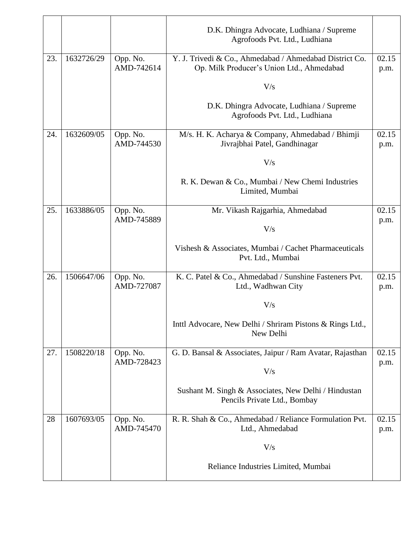|     |            |                        | D.K. Dhingra Advocate, Ludhiana / Supreme<br>Agrofoods Pvt. Ltd., Ludhiana                           |               |
|-----|------------|------------------------|------------------------------------------------------------------------------------------------------|---------------|
| 23. | 1632726/29 | Opp. No.<br>AMD-742614 | Y. J. Trivedi & Co., Ahmedabad / Ahmedabad District Co.<br>Op. Milk Producer's Union Ltd., Ahmedabad | 02.15<br>p.m. |
|     |            |                        | V/s                                                                                                  |               |
|     |            |                        | D.K. Dhingra Advocate, Ludhiana / Supreme<br>Agrofoods Pvt. Ltd., Ludhiana                           |               |
| 24. | 1632609/05 | Opp. No.<br>AMD-744530 | M/s. H. K. Acharya & Company, Ahmedabad / Bhimji<br>Jivrajbhai Patel, Gandhinagar                    | 02.15<br>p.m. |
|     |            |                        | V/s                                                                                                  |               |
|     |            |                        | R. K. Dewan & Co., Mumbai / New Chemi Industries<br>Limited, Mumbai                                  |               |
| 25. | 1633886/05 | Opp. No.<br>AMD-745889 | Mr. Vikash Rajgarhia, Ahmedabad                                                                      | 02.15         |
|     |            |                        | V/s                                                                                                  | p.m.          |
|     |            |                        | Vishesh & Associates, Mumbai / Cachet Pharmaceuticals<br>Pvt. Ltd., Mumbai                           |               |
| 26. | 1506647/06 | Opp. No.<br>AMD-727087 | K. C. Patel & Co., Ahmedabad / Sunshine Fasteners Pvt.<br>Ltd., Wadhwan City                         | 02.15<br>p.m. |
|     |            |                        | V/s                                                                                                  |               |
|     |            |                        | Inttl Advocare, New Delhi / Shriram Pistons & Rings Ltd.,<br>New Delhi                               |               |
| 27. | 1508220/18 | Opp. No.<br>AMD-728423 | G. D. Bansal & Associates, Jaipur / Ram Avatar, Rajasthan                                            | 02.15         |
|     |            |                        | V/s                                                                                                  | p.m.          |
|     |            |                        | Sushant M. Singh & Associates, New Delhi / Hindustan<br>Pencils Private Ltd., Bombay                 |               |
| 28  | 1607693/05 | Opp. No.<br>AMD-745470 | R. R. Shah & Co., Ahmedabad / Reliance Formulation Pvt.<br>Ltd., Ahmedabad                           | 02.15<br>p.m. |
|     |            |                        |                                                                                                      |               |
|     |            |                        | V/s                                                                                                  |               |
|     |            |                        | Reliance Industries Limited, Mumbai                                                                  |               |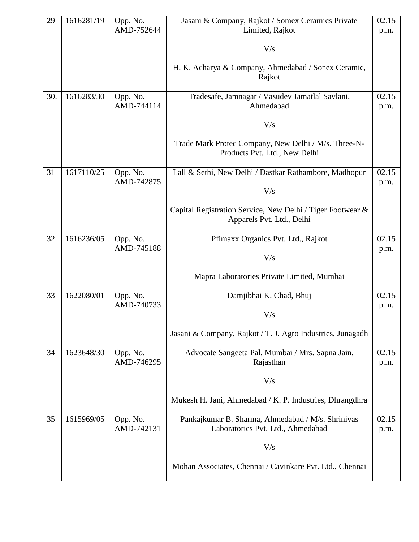| 29  | 1616281/19 | Opp. No.               | Jasani & Company, Rajkot / Somex Ceramics Private                                       | 02.15         |
|-----|------------|------------------------|-----------------------------------------------------------------------------------------|---------------|
|     |            | AMD-752644             | Limited, Rajkot                                                                         | p.m.          |
|     |            |                        | V/s                                                                                     |               |
|     |            |                        | H. K. Acharya & Company, Ahmedabad / Sonex Ceramic,<br>Rajkot                           |               |
| 30. | 1616283/30 | Opp. No.               | Tradesafe, Jamnagar / Vasudev Jamatlal Savlani,                                         | 02.15         |
|     |            | AMD-744114             | Ahmedabad                                                                               | p.m.          |
|     |            |                        | V/s                                                                                     |               |
|     |            |                        | Trade Mark Protec Company, New Delhi / M/s. Three-N-<br>Products Pvt. Ltd., New Delhi   |               |
| 31  | 1617110/25 | Opp. No.<br>AMD-742875 | Lall & Sethi, New Delhi / Dastkar Rathambore, Madhopur                                  | 02.15         |
|     |            |                        | V/s                                                                                     | p.m.          |
|     |            |                        | Capital Registration Service, New Delhi / Tiger Footwear &<br>Apparels Pvt. Ltd., Delhi |               |
| 32  | 1616236/05 | Opp. No.<br>AMD-745188 | Pfimaxx Organics Pvt. Ltd., Rajkot                                                      | 02.15         |
|     |            |                        | V/s                                                                                     | p.m.          |
|     |            |                        | Mapra Laboratories Private Limited, Mumbai                                              |               |
| 33  | 1622080/01 | Opp. No.               | Damjibhai K. Chad, Bhuj                                                                 | 02.15         |
|     |            | AMD-740733             | V/s                                                                                     | p.m.          |
|     |            |                        | Jasani & Company, Rajkot / T. J. Agro Industries, Junagadh                              |               |
| 34  | 1623648/30 | Opp. No.<br>AMD-746295 | Advocate Sangeeta Pal, Mumbai / Mrs. Sapna Jain,<br>Rajasthan                           | 02.15<br>p.m. |
|     |            |                        | V/s                                                                                     |               |
|     |            |                        | Mukesh H. Jani, Ahmedabad / K. P. Industries, Dhrangdhra                                |               |
| 35  | 1615969/05 | Opp. No.<br>AMD-742131 | Pankajkumar B. Sharma, Ahmedabad / M/s. Shrinivas<br>Laboratories Pvt. Ltd., Ahmedabad  | 02.15<br>p.m. |
|     |            |                        | V/s                                                                                     |               |
|     |            |                        |                                                                                         |               |
|     |            |                        | Mohan Associates, Chennai / Cavinkare Pvt. Ltd., Chennai                                |               |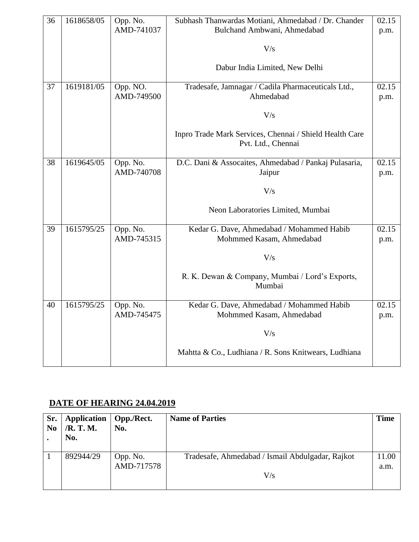| 36 | 1618658/05 | Opp. No.<br>AMD-741037 | Subhash Thanwardas Motiani, Ahmedabad / Dr. Chander<br>Bulchand Ambwani, Ahmedabad | 02.15<br>p.m. |
|----|------------|------------------------|------------------------------------------------------------------------------------|---------------|
|    |            |                        | V/s                                                                                |               |
|    |            |                        | Dabur India Limited, New Delhi                                                     |               |
| 37 | 1619181/05 | Opp. NO.<br>AMD-749500 | Tradesafe, Jamnagar / Cadila Pharmaceuticals Ltd.,<br>Ahmedabad                    | 02.15<br>p.m. |
|    |            |                        |                                                                                    |               |
|    |            |                        | V/s                                                                                |               |
|    |            |                        | Inpro Trade Mark Services, Chennai / Shield Health Care<br>Pvt. Ltd., Chennai      |               |
| 38 | 1619645/05 | Opp. No.               | D.C. Dani & Assocaites, Ahmedabad / Pankaj Pulasaria,                              | 02.15         |
|    |            | AMD-740708             | Jaipur                                                                             | p.m.          |
|    |            |                        | V/s                                                                                |               |
|    |            |                        | Neon Laboratories Limited, Mumbai                                                  |               |
| 39 | 1615795/25 | Opp. No.<br>AMD-745315 | Kedar G. Dave, Ahmedabad / Mohammed Habib                                          | 02.15         |
|    |            |                        | Mohmmed Kasam, Ahmedabad                                                           | p.m.          |
|    |            |                        | V/s                                                                                |               |
|    |            |                        | R. K. Dewan & Company, Mumbai / Lord's Exports,<br>Mumbai                          |               |
| 40 | 1615795/25 | Opp. No.               | Kedar G. Dave, Ahmedabad / Mohammed Habib                                          | 02.15         |
|    |            | AMD-745475             | Mohmmed Kasam, Ahmedabad                                                           | p.m.          |
|    |            |                        | V/s                                                                                |               |
|    |            |                        | Mahtta & Co., Ludhiana / R. Sons Knitwears, Ludhiana                               |               |

#### **DATE OF HEARING 24.04.2019**

| Sr.<br>N <sub>0</sub> | <b>Application</b><br>/R. T. M.<br>No. | Opp./Rect.<br>No. | <b>Name of Parties</b>                           | <b>Time</b> |
|-----------------------|----------------------------------------|-------------------|--------------------------------------------------|-------------|
|                       | 892944/29                              | Opp. No.          | Tradesafe, Ahmedabad / Ismail Abdulgadar, Rajkot | 11.00       |
|                       |                                        | AMD-717578        |                                                  | a.m.        |
|                       |                                        |                   | $V\!$                                            |             |
|                       |                                        |                   |                                                  |             |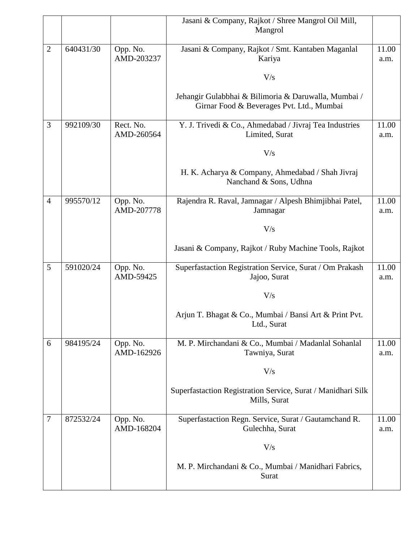|                |           |                         | Jasani & Company, Rajkot / Shree Mangrol Oil Mill,                                                |               |
|----------------|-----------|-------------------------|---------------------------------------------------------------------------------------------------|---------------|
|                |           |                         | Mangrol                                                                                           |               |
| $\overline{2}$ | 640431/30 | Opp. No.                | Jasani & Company, Rajkot / Smt. Kantaben Maganlal                                                 | 11.00         |
|                |           | AMD-203237              | Kariya                                                                                            | a.m.          |
|                |           |                         | V/s                                                                                               |               |
|                |           |                         | Jehangir Gulabbhai & Bilimoria & Daruwalla, Mumbai /<br>Girnar Food & Beverages Pvt. Ltd., Mumbai |               |
| 3              | 992109/30 | Rect. No.<br>AMD-260564 | Y. J. Trivedi & Co., Ahmedabad / Jivraj Tea Industries<br>Limited, Surat                          | 11.00<br>a.m. |
|                |           |                         | V/s                                                                                               |               |
|                |           |                         | H. K. Acharya & Company, Ahmedabad / Shah Jivraj<br>Nanchand & Sons, Udhna                        |               |
| $\overline{4}$ | 995570/12 | Opp. No.<br>AMD-207778  | Rajendra R. Raval, Jamnagar / Alpesh Bhimjibhai Patel,<br>Jamnagar                                | 11.00<br>a.m. |
|                |           |                         |                                                                                                   |               |
|                |           |                         | V/s                                                                                               |               |
|                |           |                         | Jasani & Company, Rajkot / Ruby Machine Tools, Rajkot                                             |               |
| 5              | 591020/24 | Opp. No.                | Superfastaction Registration Service, Surat / Om Prakash                                          | 11.00         |
|                |           | AMD-59425               | Jajoo, Surat                                                                                      | a.m.          |
|                |           |                         | V/s                                                                                               |               |
|                |           |                         | Arjun T. Bhagat & Co., Mumbai / Bansi Art & Print Pvt.<br>Ltd., Surat                             |               |
| 6              | 984195/24 | Opp. No.                | M. P. Mirchandani & Co., Mumbai / Madanlal Sohanlal                                               | 11.00         |
|                |           | AMD-162926              | Tawniya, Surat                                                                                    | a.m.          |
|                |           |                         | V/s                                                                                               |               |
|                |           |                         | Superfastaction Registration Service, Surat / Manidhari Silk<br>Mills, Surat                      |               |
| 7              | 872532/24 | Opp. No.<br>AMD-168204  | Superfastaction Regn. Service, Surat / Gautamchand R.<br>Gulechha, Surat                          | 11.00<br>a.m. |
|                |           |                         | V/s                                                                                               |               |
|                |           |                         | M. P. Mirchandani & Co., Mumbai / Manidhari Fabrics,<br>Surat                                     |               |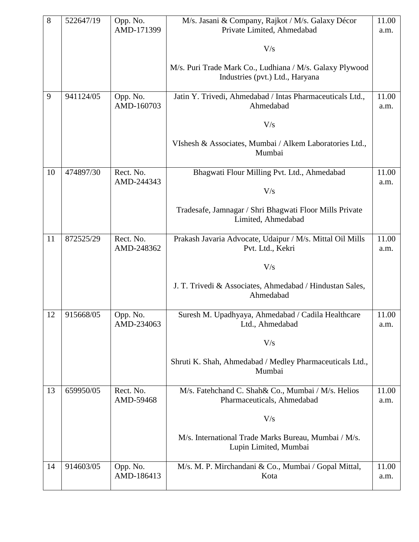| 8  | 522647/19 | Opp. No.<br>AMD-171399  | M/s. Jasani & Company, Rajkot / M/s. Galaxy Décor<br>Private Limited, Ahmedabad             | 11.00<br>a.m. |
|----|-----------|-------------------------|---------------------------------------------------------------------------------------------|---------------|
|    |           |                         |                                                                                             |               |
|    |           |                         | V/s                                                                                         |               |
|    |           |                         | M/s. Puri Trade Mark Co., Ludhiana / M/s. Galaxy Plywood<br>Industries (pvt.) Ltd., Haryana |               |
| 9  | 941124/05 | Opp. No.<br>AMD-160703  | Jatin Y. Trivedi, Ahmedabad / Intas Pharmaceuticals Ltd.,<br>Ahmedabad                      | 11.00<br>a.m. |
|    |           |                         | V/s                                                                                         |               |
|    |           |                         | VIshesh & Associates, Mumbai / Alkem Laboratories Ltd.,<br>Mumbai                           |               |
| 10 | 474897/30 | Rect. No.<br>AMD-244343 | Bhagwati Flour Milling Pvt. Ltd., Ahmedabad                                                 | 11.00<br>a.m. |
|    |           |                         | V/s                                                                                         |               |
|    |           |                         | Tradesafe, Jamnagar / Shri Bhagwati Floor Mills Private<br>Limited, Ahmedabad               |               |
| 11 | 872525/29 | Rect. No.<br>AMD-248362 | Prakash Javaria Advocate, Udaipur / M/s. Mittal Oil Mills<br>Pvt. Ltd., Kekri               | 11.00<br>a.m. |
|    |           |                         | V/s                                                                                         |               |
|    |           |                         | J. T. Trivedi & Associates, Ahmedabad / Hindustan Sales,<br>Ahmedabad                       |               |
| 12 | 915668/05 | Opp. No.<br>AMD-234063  | Suresh M. Upadhyaya, Ahmedabad / Cadila Healthcare<br>Ltd., Ahmedabad                       | 11.00<br>a.m. |
|    |           |                         | V/s                                                                                         |               |
|    |           |                         | Shruti K. Shah, Ahmedabad / Medley Pharmaceuticals Ltd.,<br>Mumbai                          |               |
| 13 | 659950/05 | Rect. No.<br>AMD-59468  | M/s. Fatehchand C. Shah& Co., Mumbai / M/s. Helios<br>Pharmaceuticals, Ahmedabad            | 11.00<br>a.m. |
|    |           |                         | V/s                                                                                         |               |
|    |           |                         | M/s. International Trade Marks Bureau, Mumbai / M/s.<br>Lupin Limited, Mumbai               |               |
| 14 | 914603/05 | Opp. No.                | M/s. M. P. Mirchandani & Co., Mumbai / Gopal Mittal,                                        | 11.00         |
|    |           | AMD-186413              | Kota                                                                                        | a.m.          |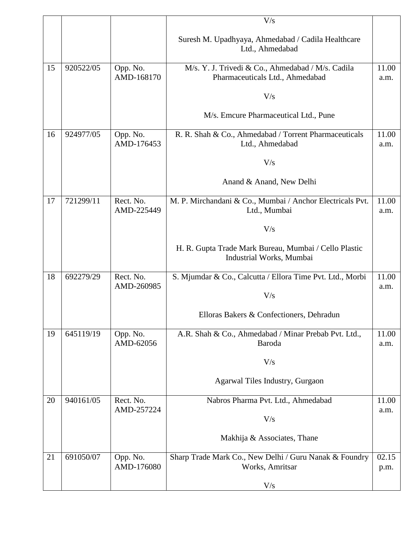|    |           |                         | V/s                                                                                  |               |
|----|-----------|-------------------------|--------------------------------------------------------------------------------------|---------------|
|    |           |                         | Suresh M. Upadhyaya, Ahmedabad / Cadila Healthcare<br>Ltd., Ahmedabad                |               |
| 15 | 920522/05 | Opp. No.<br>AMD-168170  | M/s. Y. J. Trivedi & Co., Ahmedabad / M/s. Cadila<br>Pharmaceuticals Ltd., Ahmedabad | 11.00<br>a.m. |
|    |           |                         | V/s                                                                                  |               |
|    |           |                         | M/s. Emcure Pharmaceutical Ltd., Pune                                                |               |
| 16 | 924977/05 | Opp. No.<br>AMD-176453  | R. R. Shah & Co., Ahmedabad / Torrent Pharmaceuticals<br>Ltd., Ahmedabad             | 11.00<br>a.m. |
|    |           |                         | V/s                                                                                  |               |
|    |           |                         | Anand & Anand, New Delhi                                                             |               |
| 17 | 721299/11 | Rect. No.<br>AMD-225449 | M. P. Mirchandani & Co., Mumbai / Anchor Electricals Pvt.<br>Ltd., Mumbai            | 11.00<br>a.m. |
|    |           |                         | V/s                                                                                  |               |
|    |           |                         | H. R. Gupta Trade Mark Bureau, Mumbai / Cello Plastic<br>Industrial Works, Mumbai    |               |
| 18 | 692279/29 | Rect. No.<br>AMD-260985 | S. Mjumdar & Co., Calcutta / Ellora Time Pvt. Ltd., Morbi                            | 11.00<br>a.m. |
|    |           |                         | V/s                                                                                  |               |
|    |           |                         | Elloras Bakers & Confectioners, Dehradun                                             |               |
| 19 | 645119/19 | Opp. No.<br>AMD-62056   | A.R. Shah & Co., Ahmedabad / Minar Prebab Pvt. Ltd.,<br>Baroda                       | 11.00<br>a.m. |
|    |           |                         | V/s                                                                                  |               |
|    |           |                         | Agarwal Tiles Industry, Gurgaon                                                      |               |
| 20 | 940161/05 | Rect. No.<br>AMD-257224 | Nabros Pharma Pvt. Ltd., Ahmedabad                                                   | 11.00<br>a.m. |
|    |           |                         | V/s                                                                                  |               |
|    |           |                         | Makhija & Associates, Thane                                                          |               |
| 21 | 691050/07 | Opp. No.<br>AMD-176080  | Sharp Trade Mark Co., New Delhi / Guru Nanak & Foundry<br>Works, Amritsar            | 02.15<br>p.m. |
|    |           |                         | V/s                                                                                  |               |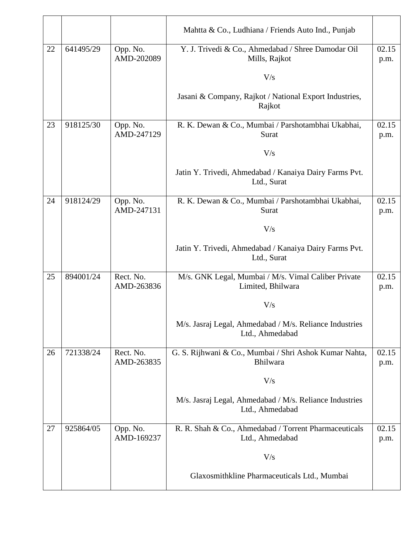|    |           |                         | Mahtta & Co., Ludhiana / Friends Auto Ind., Punjab                         |               |
|----|-----------|-------------------------|----------------------------------------------------------------------------|---------------|
| 22 | 641495/29 | Opp. No.<br>AMD-202089  | Y. J. Trivedi & Co., Ahmedabad / Shree Damodar Oil<br>Mills, Rajkot        | 02.15<br>p.m. |
|    |           |                         | V/s                                                                        |               |
|    |           |                         | Jasani & Company, Rajkot / National Export Industries,<br>Rajkot           |               |
| 23 | 918125/30 | Opp. No.<br>AMD-247129  | R. K. Dewan & Co., Mumbai / Parshotambhai Ukabhai,<br>Surat                | 02.15<br>p.m. |
|    |           |                         | V/s                                                                        |               |
|    |           |                         | Jatin Y. Trivedi, Ahmedabad / Kanaiya Dairy Farms Pvt.<br>Ltd., Surat      |               |
| 24 | 918124/29 | Opp. No.                | R. K. Dewan & Co., Mumbai / Parshotambhai Ukabhai,                         | 02.15         |
|    |           | AMD-247131              | Surat                                                                      | p.m.          |
|    |           |                         | V/s                                                                        |               |
|    |           |                         | Jatin Y. Trivedi, Ahmedabad / Kanaiya Dairy Farms Pvt.<br>Ltd., Surat      |               |
| 25 | 894001/24 | Rect. No.<br>AMD-263836 | M/s. GNK Legal, Mumbai / M/s. Vimal Caliber Private<br>Limited, Bhilwara   | 02.15<br>p.m. |
|    |           |                         | V/s                                                                        |               |
|    |           |                         | M/s. Jasraj Legal, Ahmedabad / M/s. Reliance Industries<br>Ltd., Ahmedabad |               |
| 26 | 721338/24 | Rect. No.<br>AMD-263835 | G. S. Rijhwani & Co., Mumbai / Shri Ashok Kumar Nahta,<br>Bhilwara         | 02.15<br>p.m. |
|    |           |                         | V/s                                                                        |               |
|    |           |                         | M/s. Jasraj Legal, Ahmedabad / M/s. Reliance Industries<br>Ltd., Ahmedabad |               |
| 27 | 925864/05 | Opp. No.<br>AMD-169237  | R. R. Shah & Co., Ahmedabad / Torrent Pharmaceuticals<br>Ltd., Ahmedabad   | 02.15<br>p.m. |
|    |           |                         | V/s                                                                        |               |
|    |           |                         | Glaxosmithkline Pharmaceuticals Ltd., Mumbai                               |               |
|    |           |                         |                                                                            |               |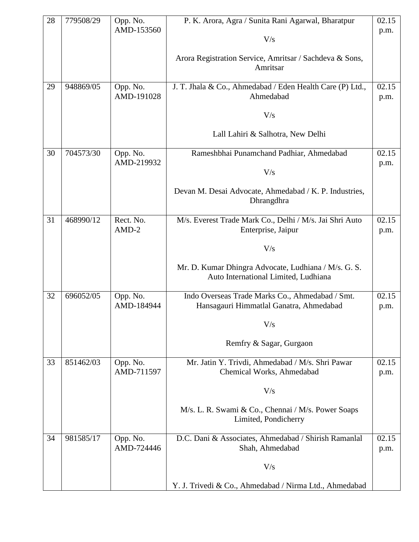| 28 | 779508/29 | Opp. No.               | P. K. Arora, Agra / Sunita Rani Agarwal, Bharatpur                                           | 02.15         |
|----|-----------|------------------------|----------------------------------------------------------------------------------------------|---------------|
|    |           | AMD-153560             | V/s                                                                                          | p.m.          |
|    |           |                        |                                                                                              |               |
|    |           |                        | Arora Registration Service, Amritsar / Sachdeva & Sons,<br>Amritsar                          |               |
|    |           |                        |                                                                                              |               |
| 29 | 948869/05 | Opp. No.               | J. T. Jhala & Co., Ahmedabad / Eden Health Care (P) Ltd.,                                    | 02.15         |
|    |           | AMD-191028             | Ahmedabad                                                                                    | p.m.          |
|    |           |                        | V/s                                                                                          |               |
|    |           |                        | Lall Lahiri & Salhotra, New Delhi                                                            |               |
| 30 | 704573/30 | Opp. No.               | Rameshbhai Punamchand Padhiar, Ahmedabad                                                     | 02.15         |
|    |           | AMD-219932             | V/s                                                                                          | p.m.          |
|    |           |                        | Devan M. Desai Advocate, Ahmedabad / K. P. Industries,                                       |               |
|    |           |                        | Dhrangdhra                                                                                   |               |
| 31 | 468990/12 | Rect. No.              |                                                                                              | 02.15         |
|    |           | $AMD-2$                | M/s. Everest Trade Mark Co., Delhi / M/s. Jai Shri Auto<br>Enterprise, Jaipur                | p.m.          |
|    |           |                        | V/s                                                                                          |               |
|    |           |                        |                                                                                              |               |
|    |           |                        | Mr. D. Kumar Dhingra Advocate, Ludhiana / M/s. G. S.<br>Auto International Limited, Ludhiana |               |
|    |           |                        |                                                                                              |               |
| 32 | 696052/05 | Opp. No.               | Indo Overseas Trade Marks Co., Ahmedabad / Smt.                                              | 02.15         |
|    |           | AMD-184944             | Hansagauri Himmatlal Ganatra, Ahmedabad                                                      | p.m.          |
|    |           |                        | $\rm V/s$                                                                                    |               |
|    |           |                        | Remfry & Sagar, Gurgaon                                                                      |               |
|    |           |                        |                                                                                              |               |
| 33 | 851462/03 | Opp. No.<br>AMD-711597 | Mr. Jatin Y. Trivdi, Ahmedabad / M/s. Shri Pawar<br>Chemical Works, Ahmedabad                | 02.15<br>p.m. |
|    |           |                        | V/s                                                                                          |               |
|    |           |                        |                                                                                              |               |
|    |           |                        | M/s. L. R. Swami & Co., Chennai / M/s. Power Soaps<br>Limited, Pondicherry                   |               |
|    |           |                        |                                                                                              |               |
| 34 | 981585/17 | Opp. No.<br>AMD-724446 | D.C. Dani & Associates, Ahmedabad / Shirish Ramanlal<br>Shah, Ahmedabad                      | 02.15<br>p.m. |
|    |           |                        |                                                                                              |               |
|    |           |                        | V/s                                                                                          |               |
|    |           |                        | Y. J. Trivedi & Co., Ahmedabad / Nirma Ltd., Ahmedabad                                       |               |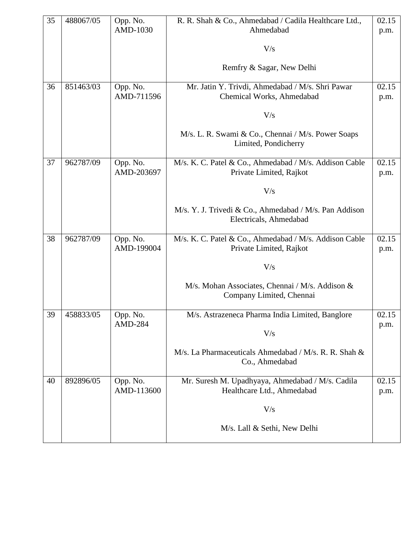| 35 | 488067/05 | Opp. No.       | R. R. Shah & Co., Ahmedabad / Cadila Healthcare Ltd.,                            | 02.15 |
|----|-----------|----------------|----------------------------------------------------------------------------------|-------|
|    |           | AMD-1030       | Ahmedabad                                                                        | p.m.  |
|    |           |                | V/s                                                                              |       |
|    |           |                | Remfry & Sagar, New Delhi                                                        |       |
| 36 | 851463/03 | Opp. No.       | Mr. Jatin Y. Trivdi, Ahmedabad / M/s. Shri Pawar                                 | 02.15 |
|    |           | AMD-711596     | Chemical Works, Ahmedabad                                                        | p.m.  |
|    |           |                | V/s                                                                              |       |
|    |           |                | M/s. L. R. Swami & Co., Chennai / M/s. Power Soaps<br>Limited, Pondicherry       |       |
| 37 | 962787/09 | Opp. No.       | M/s. K. C. Patel & Co., Ahmedabad / M/s. Addison Cable                           | 02.15 |
|    |           | AMD-203697     | Private Limited, Rajkot                                                          | p.m.  |
|    |           |                | V/s                                                                              |       |
|    |           |                | M/s. Y. J. Trivedi & Co., Ahmedabad / M/s. Pan Addison<br>Electricals, Ahmedabad |       |
| 38 | 962787/09 | Opp. No.       | M/s. K. C. Patel & Co., Ahmedabad / M/s. Addison Cable                           | 02.15 |
|    |           | AMD-199004     | Private Limited, Rajkot                                                          | p.m.  |
|    |           |                | V/s                                                                              |       |
|    |           |                | M/s. Mohan Associates, Chennai / M/s. Addison &<br>Company Limited, Chennai      |       |
| 39 | 458833/05 | Opp. No.       | M/s. Astrazeneca Pharma India Limited, Banglore                                  | 02.15 |
|    |           | <b>AMD-284</b> |                                                                                  | p.m.  |
|    |           |                | V/s                                                                              |       |
|    |           |                | M/s. La Pharmaceuticals Ahmedabad / M/s. R. R. Shah &<br>Co., Ahmedabad          |       |
| 40 | 892896/05 | Opp. No.       | Mr. Suresh M. Upadhyaya, Ahmedabad / M/s. Cadila                                 | 02.15 |
|    |           | AMD-113600     | Healthcare Ltd., Ahmedabad                                                       | p.m.  |
|    |           |                | V/s                                                                              |       |
|    |           |                | M/s. Lall & Sethi, New Delhi                                                     |       |
|    |           |                |                                                                                  |       |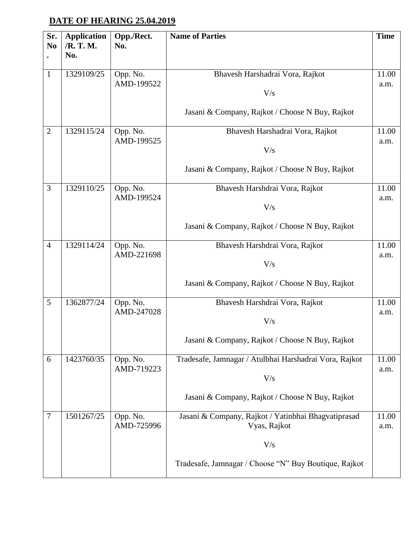### **DATE OF HEARING 25.04.2019**

| Sr.<br>N <sub>0</sub> | <b>Application</b><br>/R. T. M.<br>No. | Opp./Rect.<br>No.      | <b>Name of Parties</b>                                              | <b>Time</b>   |
|-----------------------|----------------------------------------|------------------------|---------------------------------------------------------------------|---------------|
| $\mathbf{1}$          | 1329109/25                             | Opp. No.<br>AMD-199522 | Bhavesh Harshadrai Vora, Rajkot<br>V/s                              | 11.00<br>a.m. |
|                       |                                        |                        | Jasani & Company, Rajkot / Choose N Buy, Rajkot                     |               |
| $\overline{2}$        | 1329115/24                             | Opp. No.<br>AMD-199525 | Bhavesh Harshadrai Vora, Rajkot<br>V/s                              | 11.00<br>a.m. |
|                       |                                        |                        | Jasani & Company, Rajkot / Choose N Buy, Rajkot                     |               |
| 3                     | 1329110/25                             | Opp. No.<br>AMD-199524 | Bhavesh Harshdrai Vora, Rajkot<br>V/s                               | 11.00<br>a.m. |
|                       |                                        |                        | Jasani & Company, Rajkot / Choose N Buy, Rajkot                     |               |
| $\overline{4}$        | 1329114/24                             | Opp. No.<br>AMD-221698 | Bhavesh Harshdrai Vora, Rajkot<br>V/s                               | 11.00<br>a.m. |
|                       |                                        |                        | Jasani & Company, Rajkot / Choose N Buy, Rajkot                     |               |
| 5                     | 1362877/24                             | Opp. No.<br>AMD-247028 | Bhavesh Harshdrai Vora, Rajkot<br>V/s                               | 11.00<br>a.m. |
|                       |                                        |                        | Jasani & Company, Rajkot / Choose N Buy, Rajkot                     |               |
| 6                     | 1423760/35                             | Opp. No.<br>AMD-719223 | Tradesafe, Jamnagar / Atulbhai Harshadrai Vora, Rajkot<br>V/s       | 11.00<br>a.m. |
|                       |                                        |                        | Jasani & Company, Rajkot / Choose N Buy, Rajkot                     |               |
| $\tau$                | 1501267/25                             | Opp. No.<br>AMD-725996 | Jasani & Company, Rajkot / Yatinbhai Bhagvatiprasad<br>Vyas, Rajkot | 11.00<br>a.m. |
|                       |                                        |                        | V/s                                                                 |               |
|                       |                                        |                        | Tradesafe, Jamnagar / Choose "N" Buy Boutique, Rajkot               |               |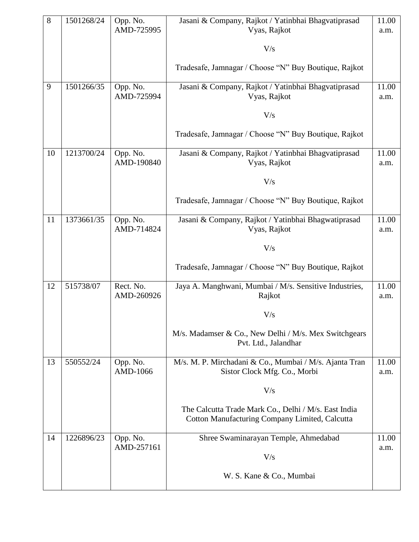| 8  | 1501268/24 | Opp. No.<br>AMD-725995  | Jasani & Company, Rajkot / Yatinbhai Bhagvatiprasad<br>Vyas, Rajkot                                    | 11.00<br>a.m. |
|----|------------|-------------------------|--------------------------------------------------------------------------------------------------------|---------------|
|    |            |                         |                                                                                                        |               |
|    |            |                         | V/s                                                                                                    |               |
|    |            |                         | Tradesafe, Jamnagar / Choose "N" Buy Boutique, Rajkot                                                  |               |
| 9  | 1501266/35 | Opp. No.<br>AMD-725994  | Jasani & Company, Rajkot / Yatinbhai Bhagvatiprasad<br>Vyas, Rajkot                                    | 11.00<br>a.m. |
|    |            |                         |                                                                                                        |               |
|    |            |                         | V/s                                                                                                    |               |
|    |            |                         | Tradesafe, Jamnagar / Choose "N" Buy Boutique, Rajkot                                                  |               |
| 10 | 1213700/24 | Opp. No.<br>AMD-190840  | Jasani & Company, Rajkot / Yatinbhai Bhagvatiprasad<br>Vyas, Rajkot                                    | 11.00<br>a.m. |
|    |            |                         | V/s                                                                                                    |               |
|    |            |                         | Tradesafe, Jamnagar / Choose "N" Buy Boutique, Rajkot                                                  |               |
| 11 | 1373661/35 | Opp. No.                | Jasani & Company, Rajkot / Yatinbhai Bhagwatiprasad                                                    | 11.00         |
|    |            | AMD-714824              | Vyas, Rajkot                                                                                           | a.m.          |
|    |            |                         | V/s                                                                                                    |               |
|    |            |                         | Tradesafe, Jamnagar / Choose "N" Buy Boutique, Rajkot                                                  |               |
| 12 | 515738/07  | Rect. No.<br>AMD-260926 | Jaya A. Manghwani, Mumbai / M/s. Sensitive Industries,<br>Rajkot                                       | 11.00         |
|    |            |                         |                                                                                                        | a.m.          |
|    |            |                         | V/s                                                                                                    |               |
|    |            |                         | M/s. Madamser & Co., New Delhi / M/s. Mex Switchgears<br>Pvt. Ltd., Jalandhar                          |               |
| 13 | 550552/24  | Opp. No.                | M/s. M. P. Mirchadani & Co., Mumbai / M/s. Ajanta Tran                                                 | 11.00         |
|    |            | AMD-1066                | Sistor Clock Mfg. Co., Morbi                                                                           | a.m.          |
|    |            |                         | V/s                                                                                                    |               |
|    |            |                         | The Calcutta Trade Mark Co., Delhi / M/s. East India<br>Cotton Manufacturing Company Limited, Calcutta |               |
|    |            |                         |                                                                                                        |               |
| 14 | 1226896/23 | Opp. No.<br>AMD-257161  | Shree Swaminarayan Temple, Ahmedabad                                                                   | 11.00<br>a.m. |
|    |            |                         | V/s                                                                                                    |               |
|    |            |                         | W. S. Kane & Co., Mumbai                                                                               |               |
|    |            |                         |                                                                                                        |               |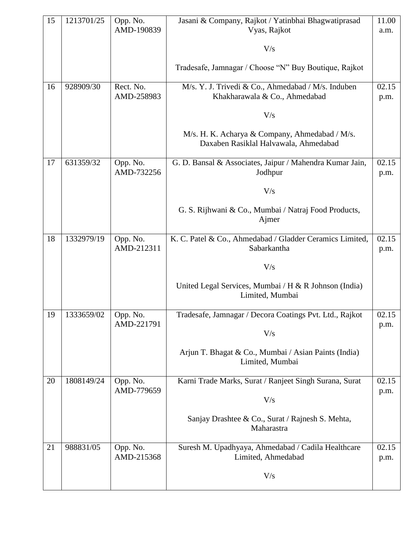| 15 | 1213701/25 | Opp. No.<br>AMD-190839  | Jasani & Company, Rajkot / Yatinbhai Bhagwatiprasad<br>Vyas, Rajkot                     | 11.00<br>a.m. |
|----|------------|-------------------------|-----------------------------------------------------------------------------------------|---------------|
|    |            |                         | V/s                                                                                     |               |
|    |            |                         | Tradesafe, Jamnagar / Choose "N" Buy Boutique, Rajkot                                   |               |
| 16 | 928909/30  | Rect. No.<br>AMD-258983 | M/s. Y. J. Trivedi & Co., Ahmedabad / M/s. Induben<br>Khakharawala & Co., Ahmedabad     | 02.15<br>p.m. |
|    |            |                         | V/s                                                                                     |               |
|    |            |                         | M/s. H. K. Acharya & Company, Ahmedabad / M/s.<br>Daxaben Rasiklal Halvawala, Ahmedabad |               |
| 17 | 631359/32  | Opp. No.<br>AMD-732256  | G. D. Bansal & Associates, Jaipur / Mahendra Kumar Jain,<br>Jodhpur                     | 02.15<br>p.m. |
|    |            |                         | V/s                                                                                     |               |
|    |            |                         | G. S. Rijhwani & Co., Mumbai / Natraj Food Products,<br>Ajmer                           |               |
| 18 | 1332979/19 | Opp. No.<br>AMD-212311  | K. C. Patel & Co., Ahmedabad / Gladder Ceramics Limited,<br>Sabarkantha                 | 02.15<br>p.m. |
|    |            |                         | V/s                                                                                     |               |
|    |            |                         | United Legal Services, Mumbai / H & R Johnson (India)<br>Limited, Mumbai                |               |
| 19 | 1333659/02 | Opp. No.<br>AMD-221791  | Tradesafe, Jamnagar / Decora Coatings Pvt. Ltd., Rajkot                                 | 02.15<br>p.m. |
|    |            |                         | V/s                                                                                     |               |
|    |            |                         | Arjun T. Bhagat & Co., Mumbai / Asian Paints (India)<br>Limited, Mumbai                 |               |
| 20 | 1808149/24 | Opp. No.<br>AMD-779659  | Karni Trade Marks, Surat / Ranjeet Singh Surana, Surat                                  | 02.15<br>p.m. |
|    |            |                         | V/s                                                                                     |               |
|    |            |                         | Sanjay Drashtee & Co., Surat / Rajnesh S. Mehta,<br>Maharastra                          |               |
| 21 | 988831/05  | Opp. No.<br>AMD-215368  | Suresh M. Upadhyaya, Ahmedabad / Cadila Healthcare<br>Limited, Ahmedabad                | 02.15<br>p.m. |
|    |            |                         | V/s                                                                                     |               |
|    |            |                         |                                                                                         |               |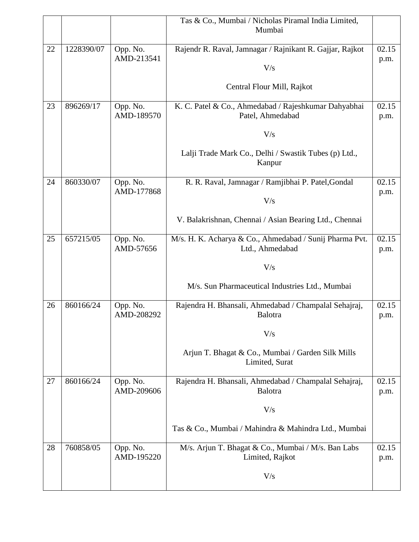|    |            |                        | Tas & Co., Mumbai / Nicholas Piramal India Limited,<br>Mumbai              |               |
|----|------------|------------------------|----------------------------------------------------------------------------|---------------|
|    |            |                        |                                                                            |               |
| 22 | 1228390/07 | Opp. No.<br>AMD-213541 | Rajendr R. Raval, Jamnagar / Rajnikant R. Gajjar, Rajkot                   | 02.15         |
|    |            |                        | V/s                                                                        | p.m.          |
|    |            |                        | Central Flour Mill, Rajkot                                                 |               |
| 23 | 896269/17  | Opp. No.<br>AMD-189570 | K. C. Patel & Co., Ahmedabad / Rajeshkumar Dahyabhai<br>Patel, Ahmedabad   | 02.15<br>p.m. |
|    |            |                        | V/s                                                                        |               |
|    |            |                        | Lalji Trade Mark Co., Delhi / Swastik Tubes (p) Ltd.,<br>Kanpur            |               |
| 24 | 860330/07  | Opp. No.<br>AMD-177868 | R. R. Raval, Jamnagar / Ramjibhai P. Patel, Gondal                         | 02.15         |
|    |            |                        | V/s                                                                        | p.m.          |
|    |            |                        | V. Balakrishnan, Chennai / Asian Bearing Ltd., Chennai                     |               |
| 25 | 657215/05  | Opp. No.<br>AMD-57656  | M/s. H. K. Acharya & Co., Ahmedabad / Sunij Pharma Pvt.<br>Ltd., Ahmedabad | 02.15<br>p.m. |
|    |            |                        | V/s                                                                        |               |
|    |            |                        | M/s. Sun Pharmaceutical Industries Ltd., Mumbai                            |               |
| 26 | 860166/24  | Opp. No.<br>AMD-208292 | Rajendra H. Bhansali, Ahmedabad / Champalal Sehajraj,<br>Balotra           | 02.15<br>p.m. |
|    |            |                        | V/s                                                                        |               |
|    |            |                        | Arjun T. Bhagat & Co., Mumbai / Garden Silk Mills<br>Limited, Surat        |               |
| 27 | 860166/24  | Opp. No.<br>AMD-209606 | Rajendra H. Bhansali, Ahmedabad / Champalal Sehajraj,<br>Balotra           | 02.15<br>p.m. |
|    |            |                        | V/s                                                                        |               |
|    |            |                        | Tas & Co., Mumbai / Mahindra & Mahindra Ltd., Mumbai                       |               |
| 28 | 760858/05  | Opp. No.<br>AMD-195220 | M/s. Arjun T. Bhagat & Co., Mumbai / M/s. Ban Labs<br>Limited, Rajkot      | 02.15<br>p.m. |
|    |            |                        | V/s                                                                        |               |
|    |            |                        |                                                                            |               |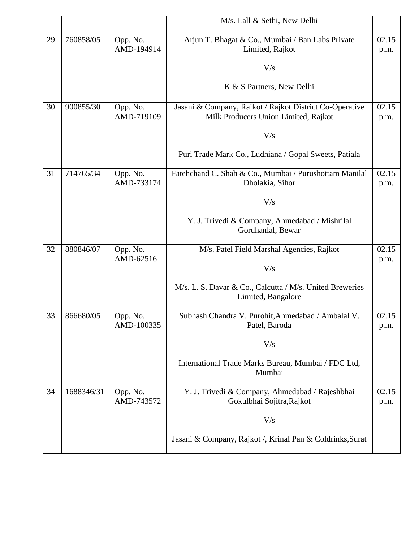|    |            |                        | M/s. Lall & Sethi, New Delhi                                                   |       |
|----|------------|------------------------|--------------------------------------------------------------------------------|-------|
|    |            |                        |                                                                                |       |
| 29 | 760858/05  | Opp. No.               | Arjun T. Bhagat & Co., Mumbai / Ban Labs Private                               | 02.15 |
|    |            | AMD-194914             | Limited, Rajkot                                                                | p.m.  |
|    |            |                        | V/s                                                                            |       |
|    |            |                        |                                                                                |       |
|    |            |                        | K & S Partners, New Delhi                                                      |       |
|    |            |                        |                                                                                |       |
| 30 | 900855/30  | Opp. No.               | Jasani & Company, Rajkot / Rajkot District Co-Operative                        | 02.15 |
|    |            | AMD-719109             | Milk Producers Union Limited, Rajkot                                           | p.m.  |
|    |            |                        | V/s                                                                            |       |
|    |            |                        |                                                                                |       |
|    |            |                        | Puri Trade Mark Co., Ludhiana / Gopal Sweets, Patiala                          |       |
|    |            |                        |                                                                                |       |
| 31 | 714765/34  | Opp. No.<br>AMD-733174 | Fatehchand C. Shah & Co., Mumbai / Purushottam Manilal<br>Dholakia, Sihor      | 02.15 |
|    |            |                        |                                                                                | p.m.  |
|    |            |                        | V/s                                                                            |       |
|    |            |                        |                                                                                |       |
|    |            |                        | Y. J. Trivedi & Company, Ahmedabad / Mishrilal                                 |       |
|    |            |                        | Gordhanlal, Bewar                                                              |       |
| 32 | 880846/07  | Opp. No.               | M/s. Patel Field Marshal Agencies, Rajkot                                      | 02.15 |
|    |            | AMD-62516              |                                                                                | p.m.  |
|    |            |                        | V/s                                                                            |       |
|    |            |                        |                                                                                |       |
|    |            |                        | M/s. L. S. Davar & Co., Calcutta / M/s. United Breweries<br>Limited, Bangalore |       |
|    |            |                        |                                                                                |       |
| 33 | 866680/05  | Opp. No.               | Subhash Chandra V. Purohit, Ahmedabad / Ambalal V.                             | 02.15 |
|    |            | AMD-100335             | Patel, Baroda                                                                  | p.m.  |
|    |            |                        |                                                                                |       |
|    |            |                        | V/s                                                                            |       |
|    |            |                        | International Trade Marks Bureau, Mumbai / FDC Ltd,                            |       |
|    |            |                        | Mumbai                                                                         |       |
|    |            |                        |                                                                                |       |
| 34 | 1688346/31 | Opp. No.               | Y. J. Trivedi & Company, Ahmedabad / Rajeshbhai                                | 02.15 |
|    |            | AMD-743572             | Gokulbhai Sojitra, Rajkot                                                      | p.m.  |
|    |            |                        | V/s                                                                            |       |
|    |            |                        |                                                                                |       |
|    |            |                        | Jasani & Company, Rajkot /, Krinal Pan & Coldrinks, Surat                      |       |
|    |            |                        |                                                                                |       |